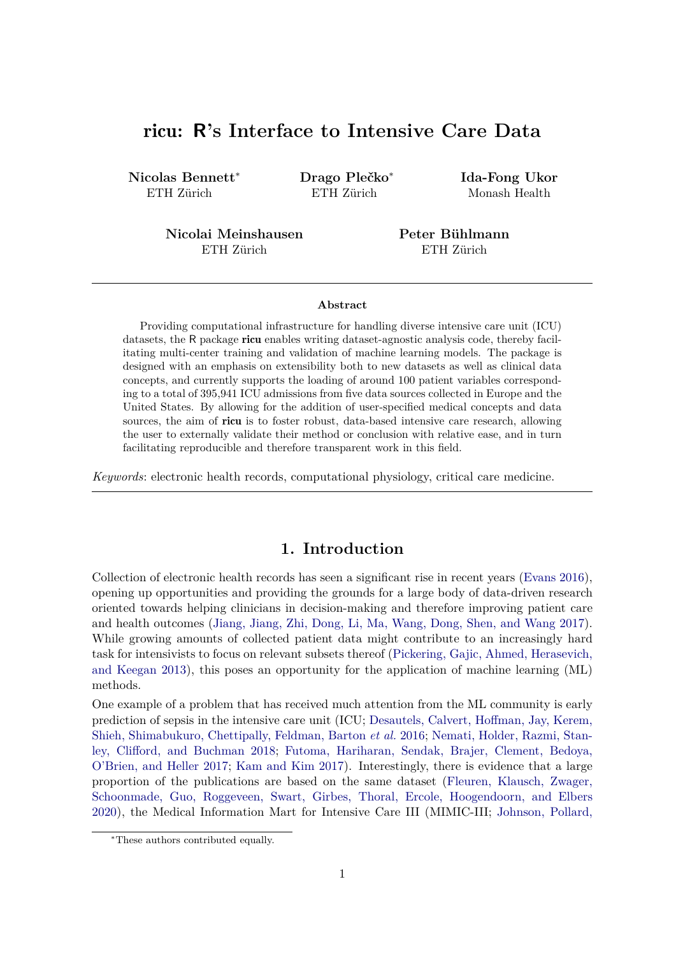# ricu**: R's Interface to Intensive Care Data**

**Nicolas Bennett**<sup>∗</sup> ETH Zürich

**Drago Plečko**<sup>∗</sup> ETH Zürich

**Ida-Fong Ukor** Monash Health

**Nicolai Meinshausen** ETH Zürich

**Peter Bühlmann** ETH Zürich

#### **Abstract**

Providing computational infrastructure for handling diverse intensive care unit (ICU) datasets, the R package ricu enables writing dataset-agnostic analysis code, thereby facilitating multi-center training and validation of machine learning models. The package is designed with an emphasis on extensibility both to new datasets as well as clinical data concepts, and currently supports the loading of around 100 patient variables corresponding to a total of 395,941 ICU admissions from five data sources collected in Europe and the United States. By allowing for the addition of user-specified medical concepts and data sources, the aim of ricu is to foster robust, data-based intensive care research, allowing the user to externally validate their method or conclusion with relative ease, and in turn facilitating reproducible and therefore transparent work in this field.

*Keywords*: electronic health records, computational physiology, critical care medicine.

### **1. Introduction**

Collection of electronic health records has seen a significant rise in recent years (Evans 2016), opening up opportunities and providing the grounds for a large body of data-driven research oriented towards helping clinicians in decision-making and therefore improving patient care and health outcomes (Jiang, Jiang, Zhi, Dong, Li, Ma, Wang, Dong, Shen, and Wang 2017). While growing amounts of collected patient data might contribute to an increasingly hard task for intensivists to focus on relevant subsets thereof (Pickering, Gajic, Ahmed, Herasevich, and Keegan 2013), this poses an opportunity for the application of machine learning (ML) methods.

One example of a problem that has received much attention from the ML community is early prediction of sepsis in the intensive care unit (ICU; Desautels, Calvert, Hoffman, Jay, Kerem, Shieh, Shimabukuro, Chettipally, Feldman, Barton *et al.* 2016; Nemati, Holder, Razmi, Stanley, Clifford, and Buchman 2018; Futoma, Hariharan, Sendak, Brajer, Clement, Bedoya, O'Brien, and Heller 2017; Kam and Kim 2017). Interestingly, there is evidence that a large proportion of the publications are based on the same dataset (Fleuren, Klausch, Zwager, Schoonmade, Guo, Roggeveen, Swart, Girbes, Thoral, Ercole, Hoogendoorn, and Elbers 2020), the Medical Information Mart for Intensive Care III (MIMIC-III; Johnson, Pollard,

<sup>∗</sup>These authors contributed equally.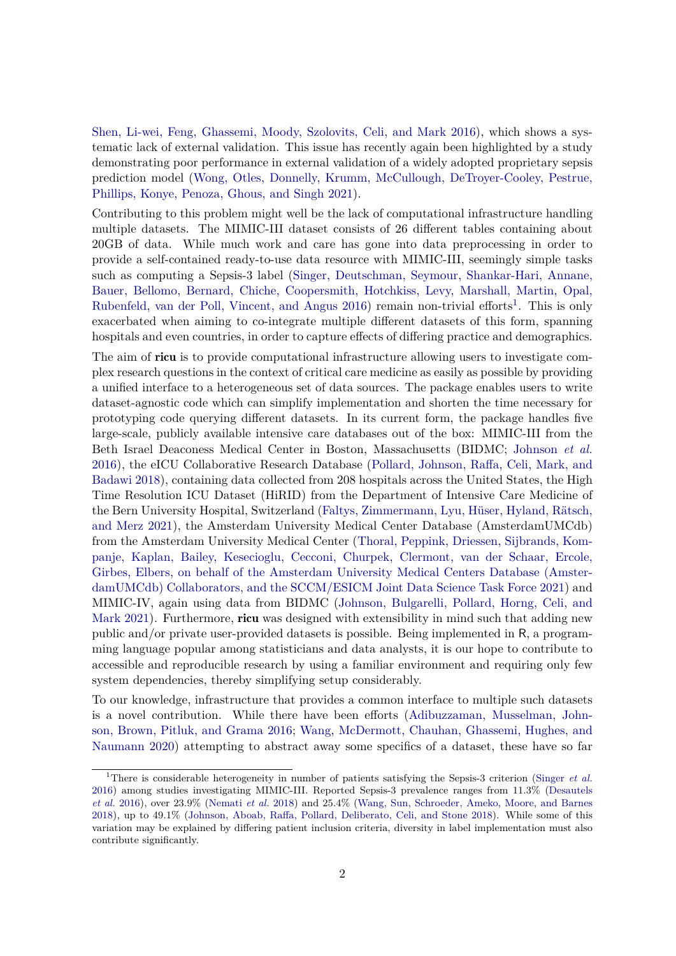Shen, Li-wei, Feng, Ghassemi, Moody, Szolovits, Celi, and Mark 2016), which shows a systematic lack of external validation. This issue has recently again been highlighted by a study demonstrating poor performance in external validation of a widely adopted proprietary sepsis prediction model (Wong, Otles, Donnelly, Krumm, McCullough, DeTroyer-Cooley, Pestrue, Phillips, Konye, Penoza, Ghous, and Singh 2021).

Contributing to this problem might well be the lack of computational infrastructure handling multiple datasets. The MIMIC-III dataset consists of 26 different tables containing about 20GB of data. While much work and care has gone into data preprocessing in order to provide a self-contained ready-to-use data resource with MIMIC-III, seemingly simple tasks such as computing a Sepsis-3 label (Singer, Deutschman, Seymour, Shankar-Hari, Annane, Bauer, Bellomo, Bernard, Chiche, Coopersmith, Hotchkiss, Levy, Marshall, Martin, Opal, Rubenfeld, van der Poll, Vincent, and Angus 2016) remain non-trivial efforts<sup>1</sup>. This is only exacerbated when aiming to co-integrate multiple different datasets of this form, spanning hospitals and even countries, in order to capture effects of differing practice and demographics.

The aim of ricu is to provide computational infrastructure allowing users to investigate complex research questions in the context of critical care medicine as easily as possible by providing a unified interface to a heterogeneous set of data sources. The package enables users to write dataset-agnostic code which can simplify implementation and shorten the time necessary for prototyping code querying different datasets. In its current form, the package handles five large-scale, publicly available intensive care databases out of the box: MIMIC-III from the Beth Israel Deaconess Medical Center in Boston, Massachusetts (BIDMC; Johnson *et al.* 2016), the eICU Collaborative Research Database (Pollard, Johnson, Raffa, Celi, Mark, and Badawi 2018), containing data collected from 208 hospitals across the United States, the High Time Resolution ICU Dataset (HiRID) from the Department of Intensive Care Medicine of the Bern University Hospital, Switzerland (Faltys, Zimmermann, Lyu, Hüser, Hyland, Rätsch, and Merz 2021), the Amsterdam University Medical Center Database (AmsterdamUMCdb) from the Amsterdam University Medical Center (Thoral, Peppink, Driessen, Sijbrands, Kompanje, Kaplan, Bailey, Kesecioglu, Cecconi, Churpek, Clermont, van der Schaar, Ercole, Girbes, Elbers, on behalf of the Amsterdam University Medical Centers Database (AmsterdamUMCdb) Collaborators, and the SCCM/ESICM Joint Data Science Task Force 2021) and MIMIC-IV, again using data from BIDMC (Johnson, Bulgarelli, Pollard, Horng, Celi, and Mark 2021). Furthermore, **ricu** was designed with extensibility in mind such that adding new public and/or private user-provided datasets is possible. Being implemented in R, a programming language popular among statisticians and data analysts, it is our hope to contribute to accessible and reproducible research by using a familiar environment and requiring only few system dependencies, thereby simplifying setup considerably.

To our knowledge, infrastructure that provides a common interface to multiple such datasets is a novel contribution. While there have been efforts (Adibuzzaman, Musselman, Johnson, Brown, Pitluk, and Grama 2016; Wang, McDermott, Chauhan, Ghassemi, Hughes, and Naumann 2020) attempting to abstract away some specifics of a dataset, these have so far

<sup>1</sup>There is considerable heterogeneity in number of patients satisfying the Sepsis-3 criterion (Singer *et al.* 2016) among studies investigating MIMIC-III. Reported Sepsis-3 prevalence ranges from 11.3% (Desautels *et al.* 2016), over 23.9% (Nemati *et al.* 2018) and 25.4% (Wang, Sun, Schroeder, Ameko, Moore, and Barnes 2018), up to 49.1% (Johnson, Aboab, Raffa, Pollard, Deliberato, Celi, and Stone 2018). While some of this variation may be explained by differing patient inclusion criteria, diversity in label implementation must also contribute significantly.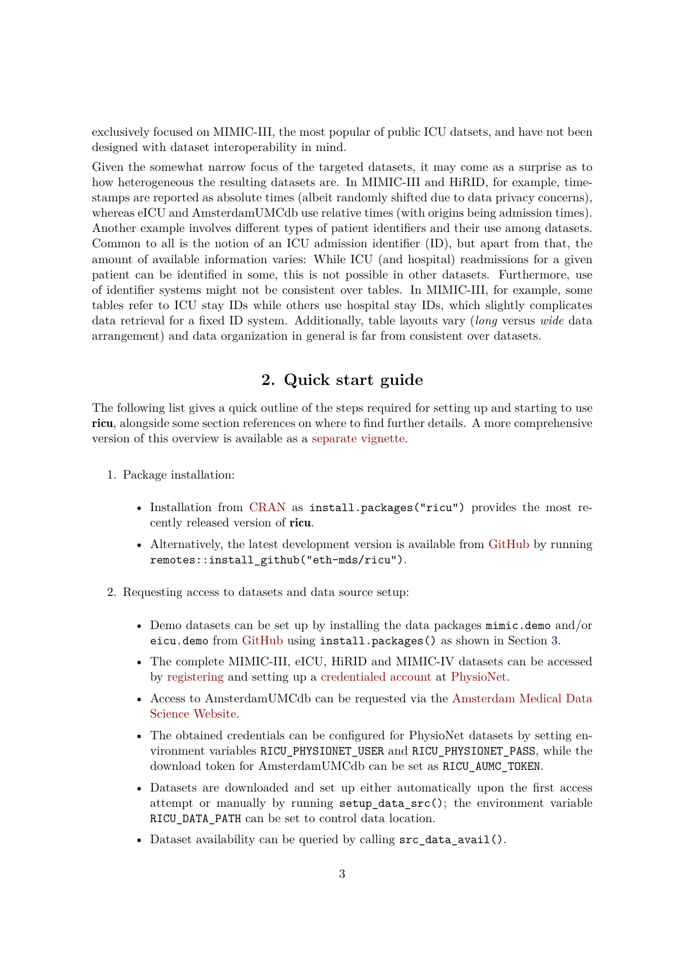exclusively focused on MIMIC-III, the most popular of public ICU datsets, and have not been designed with dataset interoperability in mind.

Given the somewhat narrow focus of the targeted datasets, it may come as a surprise as to how heterogeneous the resulting datasets are. In MIMIC-III and HiRID, for example, timestamps are reported as absolute times (albeit randomly shifted due to data privacy concerns), whereas eICU and AmsterdamUMCdb use relative times (with origins being admission times). Another example involves different types of patient identifiers and their use among datasets. Common to all is the notion of an ICU admission identifier (ID), but apart from that, the amount of available information varies: While ICU (and hospital) readmissions for a given patient can be identified in some, this is not possible in other datasets. Furthermore, use of identifier systems might not be consistent over tables. In MIMIC-III, for example, some tables refer to ICU stay IDs while others use hospital stay IDs, which slightly complicates data retrieval for a fixed ID system. Additionally, table layouts vary (*long* versus *wide* data arrangement) and data organization in general is far from consistent over datasets.

# **2. Quick start guide**

The following list gives a quick outline of the steps required for setting up and starting to use ricu, alongside some section references on where to find further details. A more comprehensive version of this overview is available as a [separate vignette.](https://CRAN.R-project.org/package=ricu/vignettes/ricu.html)

- 1. Package installation:
	- Installation from [CRAN](https://CRAN.R-project.org) as install.packages("ricu") provides the most recently released version of ricu.
	- Alternatively, the latest development version is available from [GitHub](https://github.com/eth-mds/ricu) by running remotes::install\_github("eth-mds/ricu").
- 2. Requesting access to datasets and data source setup:
	- Demo datasets can be set up by installing the data packages mimic.demo and/or eicu.demo from [GitHub](%22https://eth-mds.github.io/physionet-demo%22) using install.packages() as shown in Section 3.
	- The complete MIMIC-III, eICU, HiRID and MIMIC-IV datasets can be accessed by [registering](https://physionet.org/register) and setting up a [credentialed account](https://physionet.org/settings/credentialing) at [PhysioNet.](https://physionet.org)
	- Access to AmsterdamUMCdb can be requested via the [Amsterdam Medical Data](https://amsterdammedicaldatascience.nl/#amsterdamumcdb) [Science Website.](https://amsterdammedicaldatascience.nl/#amsterdamumcdb)
	- The obtained credentials can be configured for PhysioNet datasets by setting environment variables RICU\_PHYSIONET\_USER and RICU\_PHYSIONET\_PASS, while the download token for AmsterdamUMCdb can be set as RICU\_AUMC\_TOKEN.
	- Datasets are downloaded and set up either automatically upon the first access attempt or manually by running setup\_data\_src(); the environment variable RICU\_DATA\_PATH can be set to control data location.
	- Dataset availability can be queried by calling  $src\_data\_avail()$ .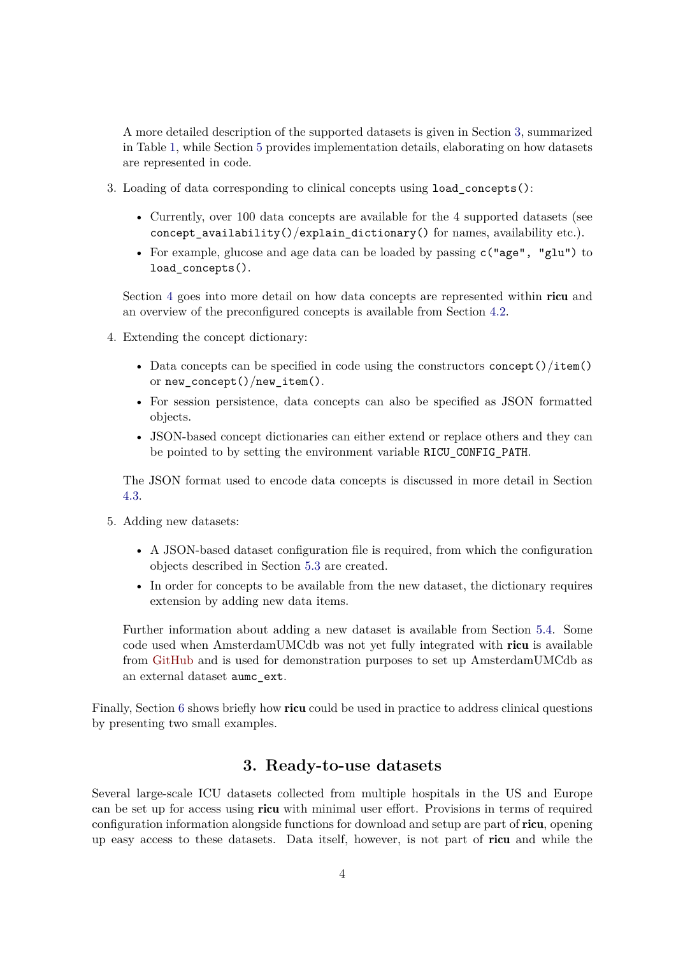A more detailed description of the supported datasets is given in Section 3, summarized in Table 1, while Section 5 provides implementation details, elaborating on how datasets are represented in code.

- 3. Loading of data corresponding to clinical concepts using load\_concepts():
	- Currently, over 100 data concepts are available for the 4 supported datasets (see concept\_availability()/explain\_dictionary() for names, availability etc.).
	- For example, glucose and age data can be loaded by passing  $c("age", "glu")$  to load concepts().

Section 4 goes into more detail on how data concepts are represented within ricu and an overview of the preconfigured concepts is available from Section 4.2.

- 4. Extending the concept dictionary:
	- Data concepts can be specified in code using the constructors concept()/item() or new\_concept()/new\_item().
	- For session persistence, data concepts can also be specified as JSON formatted objects.
	- JSON-based concept dictionaries can either extend or replace others and they can be pointed to by setting the environment variable RICU\_CONFIG\_PATH.

The JSON format used to encode data concepts is discussed in more detail in Section 4.3.

- 5. Adding new datasets:
	- A JSON-based dataset configuration file is required, from which the configuration objects described in Section 5.3 are created.
	- In order for concepts to be available from the new dataset, the dictionary requires extension by adding new data items.

Further information about adding a new dataset is available from Section 5.4. Some code used when AmsterdamUMCdb was not yet fully integrated with ricu is available from [GitHub](https://github.com/eth-mds/aumc) and is used for demonstration purposes to set up AmsterdamUMCdb as an external dataset aumc\_ext.

Finally, Section 6 shows briefly how ricu could be used in practice to address clinical questions by presenting two small examples.

### **3. Ready-to-use datasets**

Several large-scale ICU datasets collected from multiple hospitals in the US and Europe can be set up for access using ricu with minimal user effort. Provisions in terms of required configuration information alongside functions for download and setup are part of ricu, opening up easy access to these datasets. Data itself, however, is not part of ricu and while the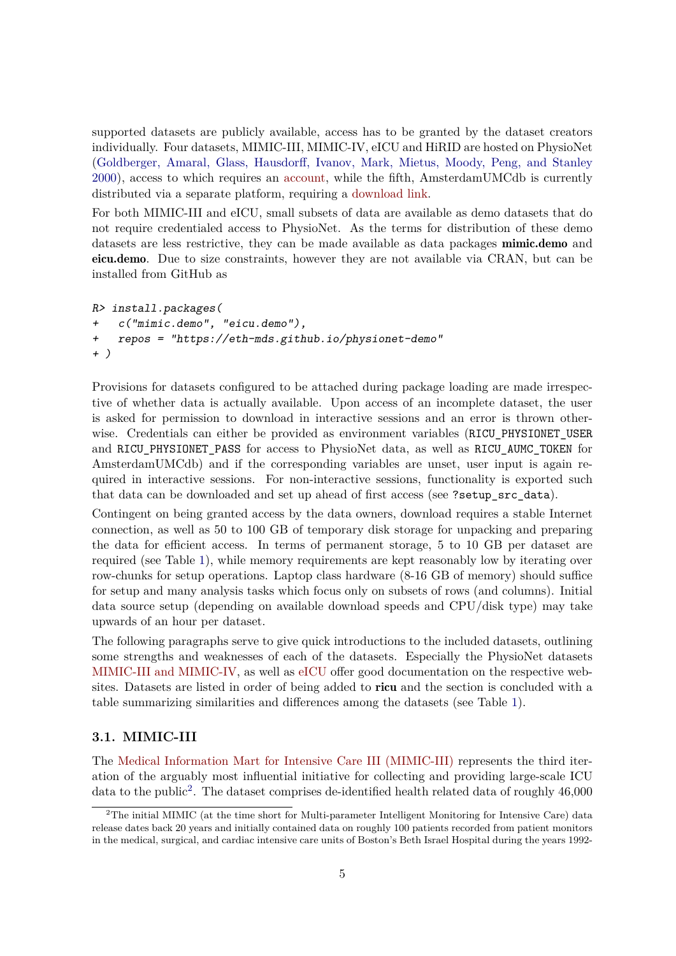supported datasets are publicly available, access has to be granted by the dataset creators individually. Four datasets, MIMIC-III, MIMIC-IV, eICU and HiRID are hosted on PhysioNet (Goldberger, Amaral, Glass, Hausdorff, Ivanov, Mark, Mietus, Moody, Peng, and Stanley 2000), access to which requires an [account,](https://physionet.org/register/) while the fifth, AmsterdamUMCdb is currently distributed via a separate platform, requiring a [download link.](https://amsterdammedicaldatascience.nl/#amsterdamumcdb)

For both MIMIC-III and eICU, small subsets of data are available as demo datasets that do not require credentialed access to PhysioNet. As the terms for distribution of these demo datasets are less restrictive, they can be made available as data packages **mimic.demo** and eicu.demo. Due to size constraints, however they are not available via CRAN, but can be installed from GitHub as

```
R> install.packages(
+ c("mimic.demo", "eicu.demo"),
+ repos = "https://eth-mds.github.io/physionet-demo"
+ )
```
Provisions for datasets configured to be attached during package loading are made irrespective of whether data is actually available. Upon access of an incomplete dataset, the user is asked for permission to download in interactive sessions and an error is thrown otherwise. Credentials can either be provided as environment variables (RICU\_PHYSIONET\_USER and RICU\_PHYSIONET\_PASS for access to PhysioNet data, as well as RICU\_AUMC\_TOKEN for AmsterdamUMCdb) and if the corresponding variables are unset, user input is again required in interactive sessions. For non-interactive sessions, functionality is exported such that data can be downloaded and set up ahead of first access (see ?setup\_src\_data).

Contingent on being granted access by the data owners, download requires a stable Internet connection, as well as 50 to 100 GB of temporary disk storage for unpacking and preparing the data for efficient access. In terms of permanent storage, 5 to 10 GB per dataset are required (see Table 1), while memory requirements are kept reasonably low by iterating over row-chunks for setup operations. Laptop class hardware (8-16 GB of memory) should suffice for setup and many analysis tasks which focus only on subsets of rows (and columns). Initial data source setup (depending on available download speeds and CPU/disk type) may take upwards of an hour per dataset.

The following paragraphs serve to give quick introductions to the included datasets, outlining some strengths and weaknesses of each of the datasets. Especially the PhysioNet datasets [MIMIC-III and MIMIC-IV,](https://mimic.mit.edu/docs/) as well as [eICU](https://eicu-crd.mit.edu/about/eicu/) offer good documentation on the respective websites. Datasets are listed in order of being added to **ricu** and the section is concluded with a table summarizing similarities and differences among the datasets (see Table 1).

### **3.1. MIMIC-III**

The [Medical Information Mart for Intensive Care III \(MIMIC-III\)](https://physionet.org/content/mimiciii/1.4/) represents the third iteration of the arguably most influential initiative for collecting and providing large-scale ICU data to the public<sup>2</sup>. The dataset comprises de-identified health related data of roughly 46,000

<sup>&</sup>lt;sup>2</sup>The initial MIMIC (at the time short for Multi-parameter Intelligent Monitoring for Intensive Care) data release dates back 20 years and initially contained data on roughly 100 patients recorded from patient monitors in the medical, surgical, and cardiac intensive care units of Boston's Beth Israel Hospital during the years 1992-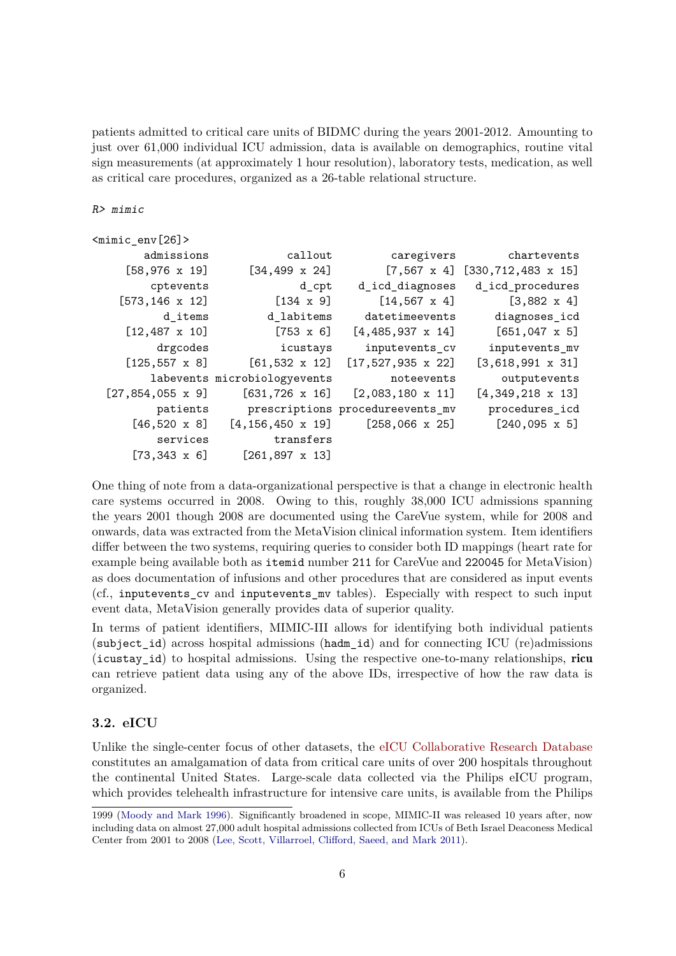patients admitted to critical care units of BIDMC during the years 2001-2012. Amounting to just over 61,000 individual ICU admission, data is available on demographics, routine vital sign measurements (at approximately 1 hour resolution), laboratory tests, medication, as well as critical care procedures, organized as a 26-table relational structure.

#### R> mimic

| <mimic_env[26]></mimic_env[26]> |                              |                                  |                                       |
|---------------------------------|------------------------------|----------------------------------|---------------------------------------|
| admissions                      | callout                      | caregivers                       | chartevents                           |
| $[58, 976 \times 19]$           | $[34, 499 \times 24]$        |                                  | $[7,567 \times 4]$ [330,712,483 x 15] |
| cptevents                       | d_cpt                        | d_icd_diagnoses                  | d_icd_procedures                      |
| $[573, 146 \times 12]$          | $[134 \times 9]$             | $[14, 567 \times 4]$             | $[3,882 \times 4]$                    |
| d items                         | d_labitems                   | datetimeevents                   | diagnoses_icd                         |
| $[12, 487 \times 10]$           | $[753 \times 6]$             | $[4,485,937 \times 14]$          | $[651,047 \times 5]$                  |
| drgcodes                        | icustays                     | inputevents_cv                   | inputevents_mv                        |
| $[125, 557 \times 8]$           | $[61, 532 \times 12]$        | $[17, 527, 935 \times 22]$       | $[3,618,991 \times 31]$               |
|                                 | labevents microbiologyevents | noteevents                       | outputevents                          |
| $[27, 854, 055 \times 9]$       | $[631, 726 \times 16]$       | $[2,083,180 \times 11]$          | $[4,349,218 \times 13]$               |
| patients                        |                              | prescriptions procedureevents_mv | procedures_icd                        |
| $[46,520 \times 8]$             | $[4, 156, 450 \times 19]$    | $[258,066 \times 25]$            | $[240,095 \times 5]$                  |
| services                        | transfers                    |                                  |                                       |
| $[73, 343 \times 6]$            | $[261, 897 \times 13]$       |                                  |                                       |

One thing of note from a data-organizational perspective is that a change in electronic health care systems occurred in 2008. Owing to this, roughly 38,000 ICU admissions spanning the years 2001 though 2008 are documented using the CareVue system, while for 2008 and onwards, data was extracted from the MetaVision clinical information system. Item identifiers differ between the two systems, requiring queries to consider both ID mappings (heart rate for example being available both as itemid number 211 for CareVue and 220045 for MetaVision) as does documentation of infusions and other procedures that are considered as input events (cf., inputevents\_cv and inputevents\_mv tables). Especially with respect to such input event data, MetaVision generally provides data of superior quality.

In terms of patient identifiers, MIMIC-III allows for identifying both individual patients (subject\_id) across hospital admissions (hadm\_id) and for connecting ICU (re)admissions (icustay\_id) to hospital admissions. Using the respective one-to-many relationships, ricu can retrieve patient data using any of the above IDs, irrespective of how the raw data is organized.

### **3.2. eICU**

Unlike the single-center focus of other datasets, the [eICU Collaborative Research Database](https://physionet.org/content/eicu-crd/2.0/) constitutes an amalgamation of data from critical care units of over 200 hospitals throughout the continental United States. Large-scale data collected via the Philips eICU program, which provides telehealth infrastructure for intensive care units, is available from the Philips

<sup>1999 (</sup>Moody and Mark 1996). Significantly broadened in scope, MIMIC-II was released 10 years after, now including data on almost 27,000 adult hospital admissions collected from ICUs of Beth Israel Deaconess Medical Center from 2001 to 2008 (Lee, Scott, Villarroel, Clifford, Saeed, and Mark 2011).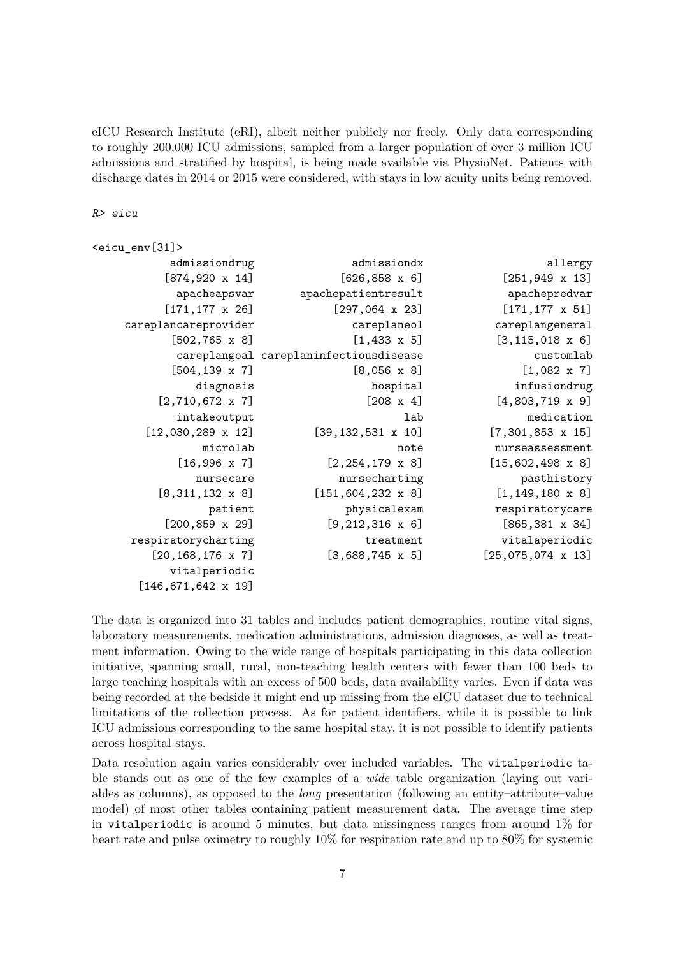eICU Research Institute (eRI), albeit neither publicly nor freely. Only data corresponding to roughly 200,000 ICU admissions, sampled from a larger population of over 3 million ICU admissions and stratified by hospital, is being made available via PhysioNet. Patients with discharge dates in 2014 or 2015 were considered, with stays in low acuity units being removed.

R> eicu

```
<eicu_env[31]>
         admissiondrug admissiondx allergy
        [874,920 \times 14] [626,858 \times 6] [251,949 \times 13]apacheapsvar apachepatientresult apachepredvar
        [171,177 \times 26] [297,064 \times 23] [171,177 \times 51]careplancareprovider careplaneol careplangeneral
         [502, 765 \times 8] [1, 433 \times 5] [3, 115, 018 \times 6]careplangoal careplaninfectiousdisease customlab
         [504, 139 \times 7] [8, 056 \times 8] [1, 082 \times 7]diagnosis hospital infusiondrug
       [2,710,672 \times 7] [208 \times 4] [4,803,719 \times 9]intakeoutput and the lab medication medication
      [12,030,289 \times 12] [39,132,531 \times 10] [7,301,853 \times 15]microlab note nurseassessment
          [16,996 \times 7] [2,254,179 \times 8] [15,602,498 \times 8]nursecare nursecharting pasthistory
       [8,311,132 \times 8] [151,604,232 \times 8] [1,149,180 \times 8]patient physicalexam respiratorycare
        [200,859 \times 29] [9,212,316 \times 6] [865,381 \times 34]respiratorycharting treatment vitalaperiodic
      [20,168,176 x 7] [3,688,745 x 5] [25,075,074 x 13]
         vitalperiodic
     [146,671,642 x 19]
```
The data is organized into 31 tables and includes patient demographics, routine vital signs, laboratory measurements, medication administrations, admission diagnoses, as well as treatment information. Owing to the wide range of hospitals participating in this data collection initiative, spanning small, rural, non-teaching health centers with fewer than 100 beds to large teaching hospitals with an excess of 500 beds, data availability varies. Even if data was being recorded at the bedside it might end up missing from the eICU dataset due to technical limitations of the collection process. As for patient identifiers, while it is possible to link ICU admissions corresponding to the same hospital stay, it is not possible to identify patients across hospital stays.

Data resolution again varies considerably over included variables. The vitalperiodic table stands out as one of the few examples of a *wide* table organization (laying out variables as columns), as opposed to the *long* presentation (following an entity–attribute–value model) of most other tables containing patient measurement data. The average time step in vitalperiodic is around 5 minutes, but data missingness ranges from around  $1\%$  for heart rate and pulse oximetry to roughly 10% for respiration rate and up to 80% for systemic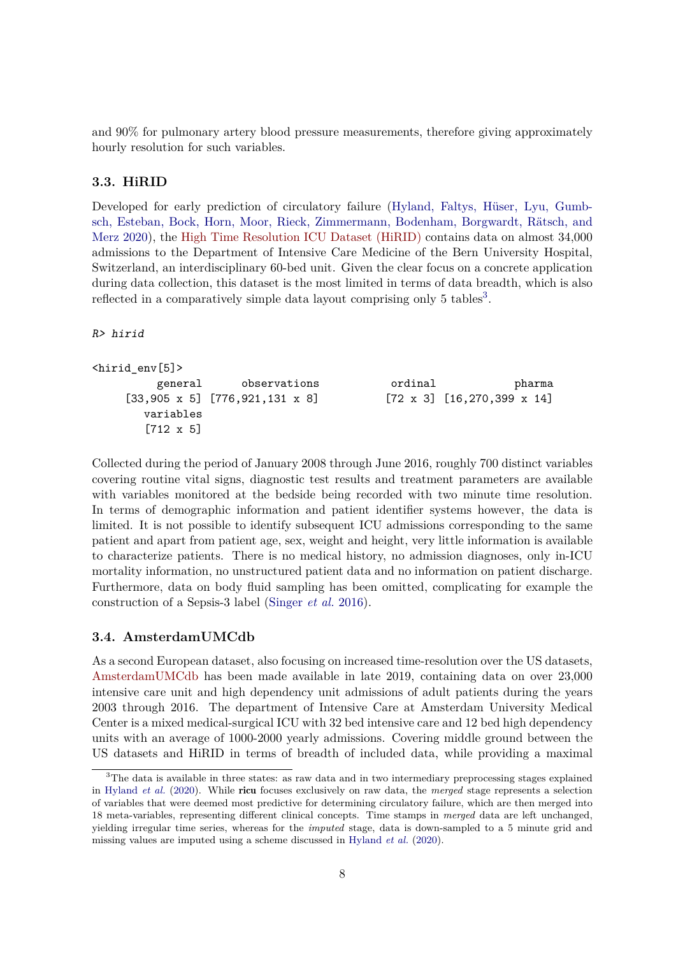and 90% for pulmonary artery blood pressure measurements, therefore giving approximately hourly resolution for such variables.

### **3.3. HiRID**

Developed for early prediction of circulatory failure (Hyland, Faltys, Hüser, Lyu, Gumbsch, Esteban, Bock, Horn, Moor, Rieck, Zimmermann, Bodenham, Borgwardt, Rätsch, and Merz 2020), the [High Time Resolution ICU Dataset \(HiRID\)](https://physionet.org/content/hirid/1.0/) contains data on almost 34,000 admissions to the Department of Intensive Care Medicine of the Bern University Hospital, Switzerland, an interdisciplinary 60-bed unit. Given the clear focus on a concrete application during data collection, this dataset is the most limited in terms of data breadth, which is also reflected in a comparatively simple data layout comprising only 5 tables<sup>3</sup>.

R> hirid

```
<hirid_env[5]>
```

```
general observations ordinal pharma
[33,905 \times 5] [776,921,131 \times 8] [72 \times 3] [16,270,399 \times 14]variables
  [712 x 5]
```
Collected during the period of January 2008 through June 2016, roughly 700 distinct variables covering routine vital signs, diagnostic test results and treatment parameters are available with variables monitored at the bedside being recorded with two minute time resolution. In terms of demographic information and patient identifier systems however, the data is limited. It is not possible to identify subsequent ICU admissions corresponding to the same patient and apart from patient age, sex, weight and height, very little information is available to characterize patients. There is no medical history, no admission diagnoses, only in-ICU mortality information, no unstructured patient data and no information on patient discharge. Furthermore, data on body fluid sampling has been omitted, complicating for example the construction of a Sepsis-3 label (Singer *et al.* 2016).

### **3.4. AmsterdamUMCdb**

As a second European dataset, also focusing on increased time-resolution over the US datasets, [AmsterdamUMCdb](https://amsterdammedicaldatascience.nl/#amsterdamumcdb) has been made available in late 2019, containing data on over 23,000 intensive care unit and high dependency unit admissions of adult patients during the years 2003 through 2016. The department of Intensive Care at Amsterdam University Medical Center is a mixed medical-surgical ICU with 32 bed intensive care and 12 bed high dependency units with an average of 1000-2000 yearly admissions. Covering middle ground between the US datasets and HiRID in terms of breadth of included data, while providing a maximal

<sup>&</sup>lt;sup>3</sup>The data is available in three states: as raw data and in two intermediary preprocessing stages explained in Hyland *et al.* (2020). While ricu focuses exclusively on raw data, the *merged* stage represents a selection of variables that were deemed most predictive for determining circulatory failure, which are then merged into 18 meta-variables, representing different clinical concepts. Time stamps in *merged* data are left unchanged, yielding irregular time series, whereas for the *imputed* stage, data is down-sampled to a 5 minute grid and missing values are imputed using a scheme discussed in Hyland *et al.* (2020).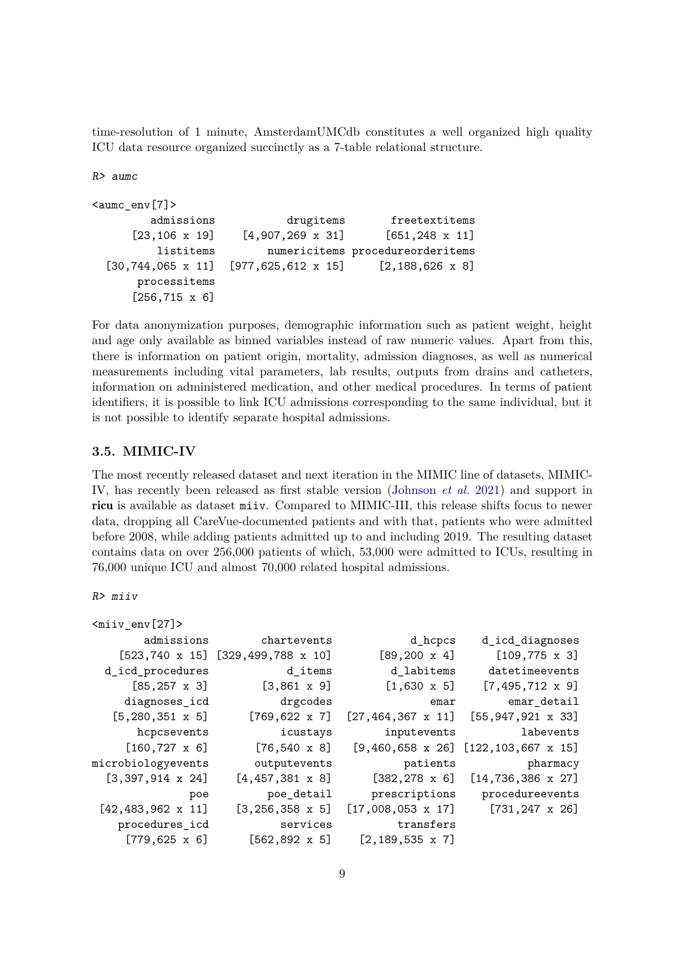time-resolution of 1 minute, AmsterdamUMCdb constitutes a well organized high quality ICU data resource organized succinctly as a 7-table relational structure.

R> aumc

```
<aumc_env[7]>
        admissions drugitems freetextitems
     [23, 106 \times 19] [4, 907, 269 \times 31] [651, 248 \times 11]listitems numericitems procedureorderitems
 [30,744,065 x 11] [977,625,612 x 15] [2,188,626 x 8]
      processitems
     [256,715 x 6]
```
For data anonymization purposes, demographic information such as patient weight, height and age only available as binned variables instead of raw numeric values. Apart from this, there is information on patient origin, mortality, admission diagnoses, as well as numerical measurements including vital parameters, lab results, outputs from drains and catheters, information on administered medication, and other medical procedures. In terms of patient identifiers, it is possible to link ICU admissions corresponding to the same individual, but it is not possible to identify separate hospital admissions.

### **3.5. MIMIC-IV**

The most recently released dataset and next iteration in the MIMIC line of datasets, MIMIC-IV, has recently been released as first stable version (Johnson *et al.* 2021) and support in ricu is available as dataset miiv. Compared to MIMIC-III, this release shifts focus to newer data, dropping all CareVue-documented patients and with that, patients who were admitted before 2008, while adding patients admitted up to and including 2019. The resulting dataset contains data on over 256,000 patients of which, 53,000 were admitted to ICUs, resulting in 76,000 unique ICU and almost 70,000 related hospital admissions.

R> miiv

| $<$ miiv_env[27]>          |                                             |                            |                                            |
|----------------------------|---------------------------------------------|----------------------------|--------------------------------------------|
| admissions                 | chartevents                                 | d_hcpcs                    | d_icd_diagnoses                            |
|                            | $[523, 740 \times 15]$ [329, 499, 788 x 10] | $[89, 200 \times 4]$       | $[109, 775 \times 3]$                      |
| d_icd_procedures           | d_items                                     | d_labitems                 | datetimeevents                             |
| $[85, 257 \times 3]$       | $[3,861 \times 9]$                          | $[1,630 \times 5]$         | $[7,495,712 \times 9]$                     |
| diagnoses_icd              | drgcodes                                    | emar                       | emar_detail                                |
| $[5, 280, 351 \times 5]$   | $[769, 622 \times 7]$                       | $[27, 464, 367 \times 11]$ | $[55, 947, 921 \times 33]$                 |
| hcpcsevents                | icustays                                    | inputevents                | labevents                                  |
| $[160, 727 \times 6]$      | $[76, 540 \times 8]$                        |                            | $[9,460,658 \times 26]$ [122,103,667 x 15] |
| microbiologyevents         | outputevents                                | patients                   | pharmacy                                   |
| $[3,397,914 \times 24]$    | $[4,457,381 \times 8]$                      | $[382, 278 \times 6]$      | $[14, 736, 386 \times 27]$                 |
| poe                        | poe_detail                                  | prescriptions              | procedureevents                            |
| $[42, 483, 962 \times 11]$ | $[3, 256, 358 \times 5]$                    | $[17,008,053 \times 17]$   | $[731, 247 \times 26]$                     |
| procedures_icd             | services                                    | transfers                  |                                            |
| $[779, 625 \times 6]$      | $[562, 892 \times 5]$                       | $[2, 189, 535 \times 7]$   |                                            |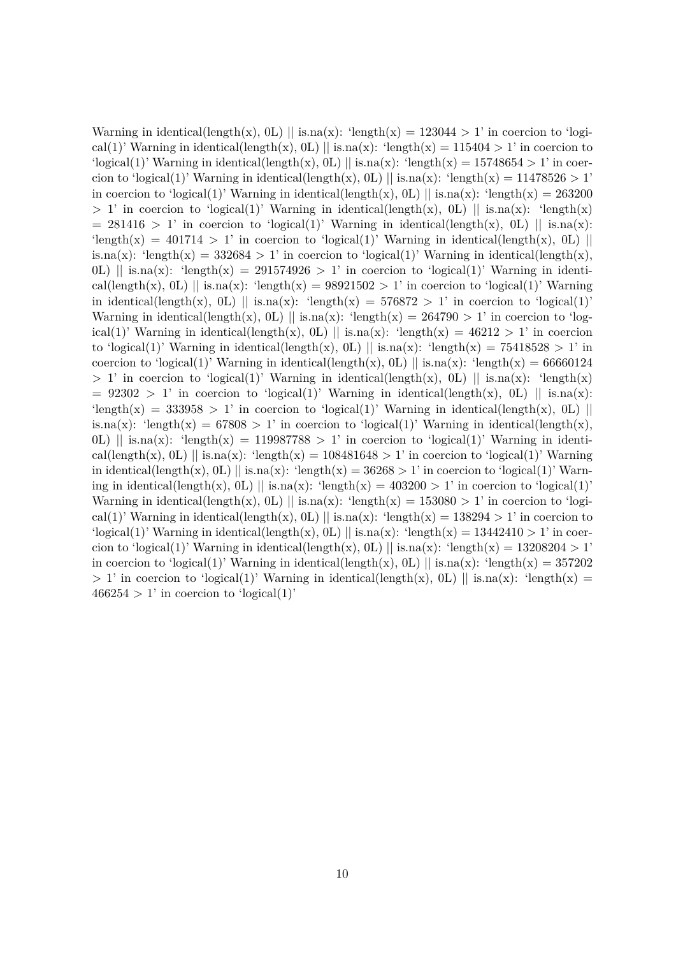Warning in identical(length(x), 0L) || is.na(x): 'length(x) = 123044 > 1' in coercion to 'logical(1)' Warning in identical(length(x), 0L) || is.na(x): 'length(x) = 115404 > 1' in coercion to  $\logical(1)$ ' Warning in identical(length(x), 0L)  $\|\$ is.na(x):  $\text{length}(x) = 15748654 > 1$ ' in coercion to 'logical(1)' Warning in identical(length(x), 0L) || is.na(x): 'length(x) = 11478526 > 1' in coercion to 'logical(1)' Warning in identical(length(x), 0L) || is.na(x): 'length(x) = 263200  $> 1'$  in coercion to 'logical(1)' Warning in identical(length(x), 0L) || is.na(x): 'length(x)  $= 281416 > 1'$  in coercion to 'logical(1)' Warning in identical(length(x), 0L) || is.na(x): 'length(x) = 401714 > 1' in coercion to 'logical(1)' Warning in identical(length(x), 0L) || is.na(x): 'length(x) = 332684 > 1' in coercion to 'logical(1)' Warning in identical(length(x), 0L)  $\parallel$  is.na(x): 'length(x) = 291574926 > 1' in coercion to 'logical(1)' Warning in identical(length(x), 0L) || is.na(x): 'length(x) = 98921502 > 1' in coercion to 'logical(1)' Warning in identical(length(x), 0L) || is.na(x): 'length(x) =  $576872 > 1$ ' in coercion to 'logical(1)' Warning in identical(length(x), 0L) || is.na(x): 'length(x) =  $264790 > 1$ ' in coercion to 'logical(1)' Warning in identical(length(x), 0L) || is.na(x): 'length(x) =  $46212 > 1$ ' in coercion to 'logical(1)' Warning in identical(length(x), 0L) || is.na(x): 'length(x) =  $75418528 > 1$ ' in coercion to 'logical(1)' Warning in identical(length(x), 0L) || is.na(x): 'length(x) = 66660124  $> 1'$  in coercion to 'logical(1)' Warning in identical(length(x), 0L) || is.na(x): 'length(x)  $= 92302 > 1'$  in coercion to 'logical(1)' Warning in identical(length(x), 0L) || is.na(x): 'length(x) = 333958 > 1' in coercion to 'logical(1)' Warning in identical(length(x), 0L) || is.na(x): 'length(x) = 67808 > 1' in coercion to 'logical(1)' Warning in identical(length(x), 0L) || is.na(x): 'length(x) = 119987788 > 1' in coercion to 'logical(1)' Warning in identical(length(x), 0L) || is.na(x): 'length(x) = 108481648 > 1' in coercion to 'logical(1)' Warning in identical(length(x), 0L) || is.na(x): 'length(x) =  $36268 > 1$ ' in coercion to 'logical(1)' Warning in identical(length(x), 0L) || is.na(x): 'length(x) =  $403200 > 1$ ' in coercion to 'logical(1)' Warning in identical(length(x), 0L) || is.na(x): 'length(x) =  $153080 > 1$ ' in coercion to 'logical(1)' Warning in identical(length(x), 0L) || is.na(x): 'length(x) = 138294 > 1' in coercion to  $\logical(1)$ ' Warning in identical(length(x), 0L)  $\|\$ is.na(x):  $\text{length}(x) = 13442410 > 1$ ' in coercion to 'logical(1)' Warning in identical(length(x), 0L) || is.na(x): 'length(x) = 13208204 > 1' in coercion to 'logical(1)' Warning in identical(length(x), 0L) || is.na(x): 'length(x) = 357202  $> 1'$  in coercion to 'logical(1)' Warning in identical(length(x), 0L) || is.na(x): 'length(x) =  $466254 > 1'$  in coercion to 'logical(1)'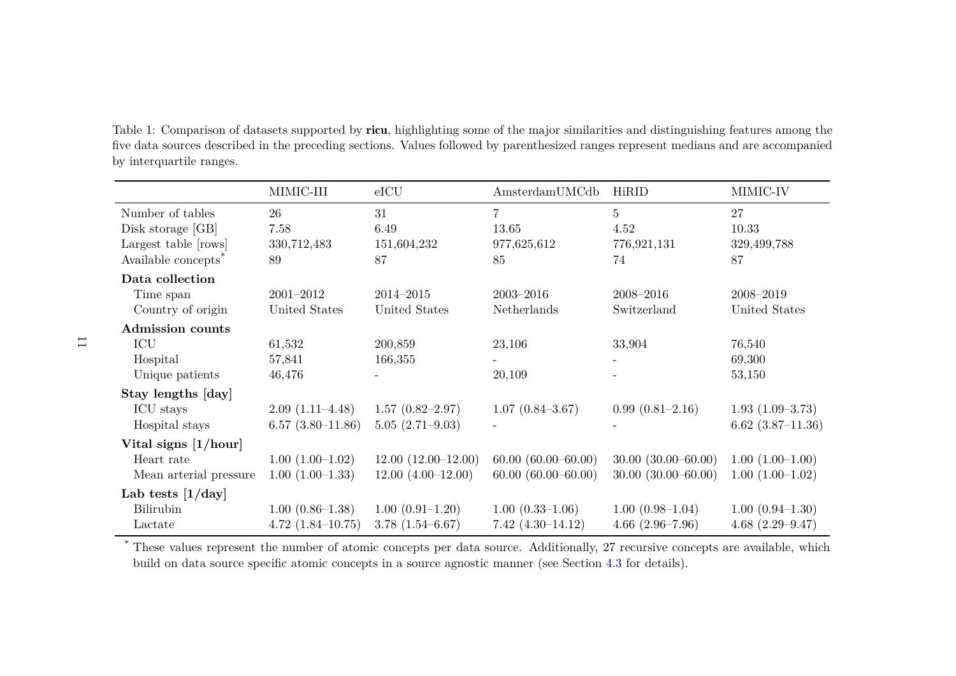Table 1: Comparison of datasets supported by ricu, highlighting some of the major similarities and distinguishing features among the five data sources described in the preceding sections. Values followed by parenthesized ranges represent medians and are accompanied by interquartile ranges.

|                                                                                                  | MIMIC-III                               | eICU                                        | Amsterdam UMCdb                                 | HiRID                                             | MIMIC-IV                                   |
|--------------------------------------------------------------------------------------------------|-----------------------------------------|---------------------------------------------|-------------------------------------------------|---------------------------------------------------|--------------------------------------------|
| Number of tables<br>Disk storage [GB]<br>Largest table [rows]<br>Available concepts <sup>*</sup> | 26<br>7.58<br>330,712,483<br>89         | 31<br>6.49<br>151,604,232<br>87             | $\overline{7}$<br>13.65<br>977,625,612<br>85    | $\overline{5}$<br>4.52<br>776,921,131<br>74       | 27<br>10.33<br>329,499,788<br>87           |
| Data collection<br>Time span<br>Country of origin                                                | $2001 - 2012$<br>United States          | 2014-2015<br>United States                  | $2003 - 2016$<br>Netherlands                    | 2008-2016<br>Switzerland                          | 2008-2019<br>United States                 |
| <b>Admission</b> counts<br>ICU<br>Hospital<br>Unique patients                                    | 61,532<br>57,841<br>46,476              | 200,859<br>166,355                          | 23,106<br>20,109                                | 33,904                                            | 76,540<br>69,300<br>53,150                 |
| Stay lengths [day]<br>ICU stays<br>Hospital stays                                                | $2.09(1.11-4.48)$<br>$6.57(3.80-11.86)$ | $1.57(0.82 - 2.97)$<br>$5.05(2.71-9.03)$    | $1.07(0.84 - 3.67)$                             | $0.99(0.81-2.16)$                                 | $1.93(1.09-3.73)$<br>$6.62$ $(3.87-11.36)$ |
| Vital signs $[1/hour]$<br>Heart rate<br>Mean arterial pressure                                   | $1.00(1.00-1.02)$<br>$1.00(1.00-1.33)$  | $12.00(12.00-12.00)$<br>$12.00(4.00-12.00)$ | $60.00 (60.00 - 60.00)$<br>$60.00(60.00-60.00)$ | $30.00 (30.00 - 60.00)$<br>$30.00(30.00 - 60.00)$ | $1.00(1.00-1.00)$<br>$1.00(1.00-1.02)$     |
| Lab tests $[1/\text{day}]$<br>Bilirubin<br>Lactate                                               | $1.00(0.86-1.38)$<br>$4.72(1.84-10.75)$ | $1.00(0.91-1.20)$<br>$3.78(1.54 - 6.67)$    | $1.00(0.33-1.06)$<br>$7.42(4.30-14.12)$         | $1.00(0.98-1.04)$<br>$4.66$ $(2.96 - 7.96)$       | $1.00(0.94-1.30)$<br>$4.68(2.29 - 9.47)$   |

\* These values represent the number of atomic concepts per data source. Additionally, 27 recursive concepts are available, which build on data source specific atomic concepts in a source agnostic manner (see Section 4.3 for details).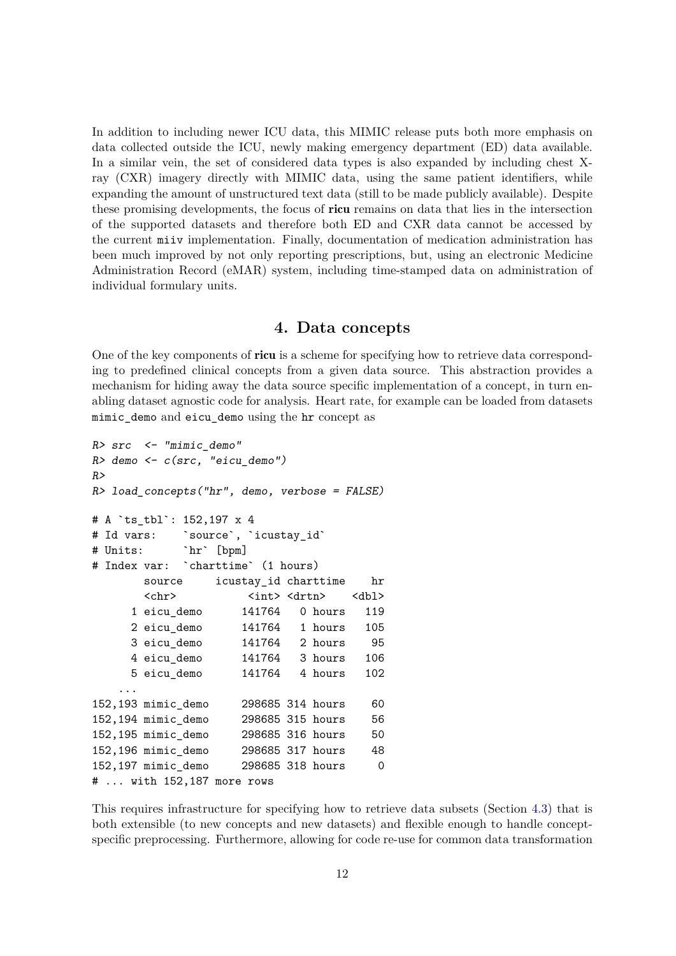In addition to including newer ICU data, this MIMIC release puts both more emphasis on data collected outside the ICU, newly making emergency department (ED) data available. In a similar vein, the set of considered data types is also expanded by including chest Xray (CXR) imagery directly with MIMIC data, using the same patient identifiers, while expanding the amount of unstructured text data (still to be made publicly available). Despite these promising developments, the focus of ricu remains on data that lies in the intersection of the supported datasets and therefore both ED and CXR data cannot be accessed by the current miiv implementation. Finally, documentation of medication administration has been much improved by not only reporting prescriptions, but, using an electronic Medicine Administration Record (eMAR) system, including time-stamped data on administration of individual formulary units.

### **4. Data concepts**

One of the key components of ricu is a scheme for specifying how to retrieve data corresponding to predefined clinical concepts from a given data source. This abstraction provides a mechanism for hiding away the data source specific implementation of a concept, in turn enabling dataset agnostic code for analysis. Heart rate, for example can be loaded from datasets mimic\_demo and eicu\_demo using the hr concept as

```
R > src < - "mimic demo"
R> demo <- c(src, "eicu_demo")
R>R> load_concepts("hr", demo, verbose = FALSE)
# A `ts_tbl`: 152,197 x 4
# Id vars: `source`, `icustay_id`
# Units: `hr` [bpm]
# Index var: `charttime` (1 hours)
      source icustay_id charttime hr
      <chr> <int><drtn> <dbl>
     1 eicu_demo 141764 0 hours 119
     2 eicu_demo 141764 1 hours 105
     3 eicu_demo 141764 2 hours 95
     4 eicu_demo 141764 3 hours 106
     5 eicu_demo 141764 4 hours 102
   ...
152,193 mimic_demo 298685 314 hours 60
152,194 mimic_demo 298685 315 hours 56
152,195 mimic_demo 298685 316 hours 50
152,196 mimic_demo 298685 317 hours 48
152,197 mimic_demo 298685 318 hours 0
# ... with 152,187 more rows
```
This requires infrastructure for specifying how to retrieve data subsets (Section 4.3) that is both extensible (to new concepts and new datasets) and flexible enough to handle conceptspecific preprocessing. Furthermore, allowing for code re-use for common data transformation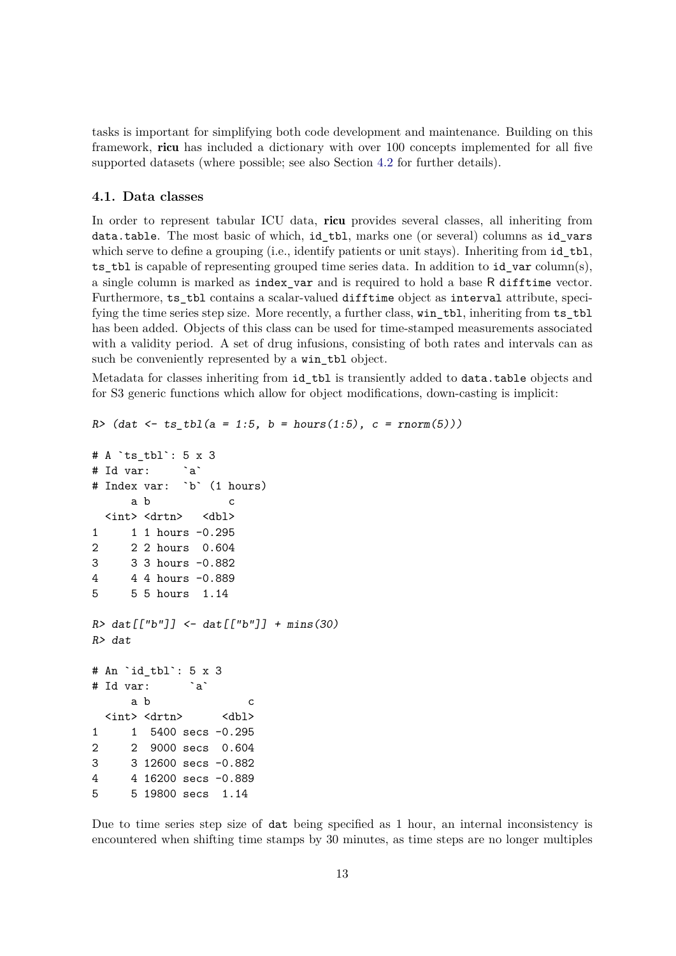tasks is important for simplifying both code development and maintenance. Building on this framework, ricu has included a dictionary with over 100 concepts implemented for all five supported datasets (where possible; see also Section 4.2 for further details).

### **4.1. Data classes**

In order to represent tabular ICU data, ricu provides several classes, all inheriting from data.table. The most basic of which, id\_tbl, marks one (or several) columns as id\_vars which serve to define a grouping (i.e., identify patients or unit stays). Inheriting from id\_tbl, ts\_tbl is capable of representing grouped time series data. In addition to id\_var column(s), a single column is marked as index\_var and is required to hold a base R difftime vector. Furthermore, ts tbl contains a scalar-valued difftime object as interval attribute, specifying the time series step size. More recently, a further class, win\_tbl, inheriting from ts\_tbl has been added. Objects of this class can be used for time-stamped measurements associated with a validity period. A set of drug infusions, consisting of both rates and intervals can as such be conveniently represented by a win\_tbl object.

Metadata for classes inheriting from id\_tbl is transiently added to data.table objects and for S3 generic functions which allow for object modifications, down-casting is implicit:

```
R (dat \leftarrow ts_tbl(a = 1:5, b = hours(1:5), c = rnorm(5)))
```

```
# A `ts tbl`: 5 x 3
# Id var: `a`
# Index var: `b` (1 hours)
     a b c
 <int> <drtn> <dbl>
1 1 1 hours -0.295
2 2 2 hours 0.604
3 3 3 hours -0.882
4 4 4 hours -0.889
5 5 5 hours 1.14
R > \text{dat}[[Tb'']] < - \text{dat}[[Tb'']] + \text{mins}(30)R> dat
# An `id_tbl`: 5 x 3
# Id var: `a`
     a b c
 <int> <drtn> <dbl>
1 1 5400 secs -0.295
2 2 9000 secs 0.604
3 3 12600 secs -0.882
4 4 16200 secs -0.889
5 5 19800 secs 1.14
```
Due to time series step size of dat being specified as 1 hour, an internal inconsistency is encountered when shifting time stamps by 30 minutes, as time steps are no longer multiples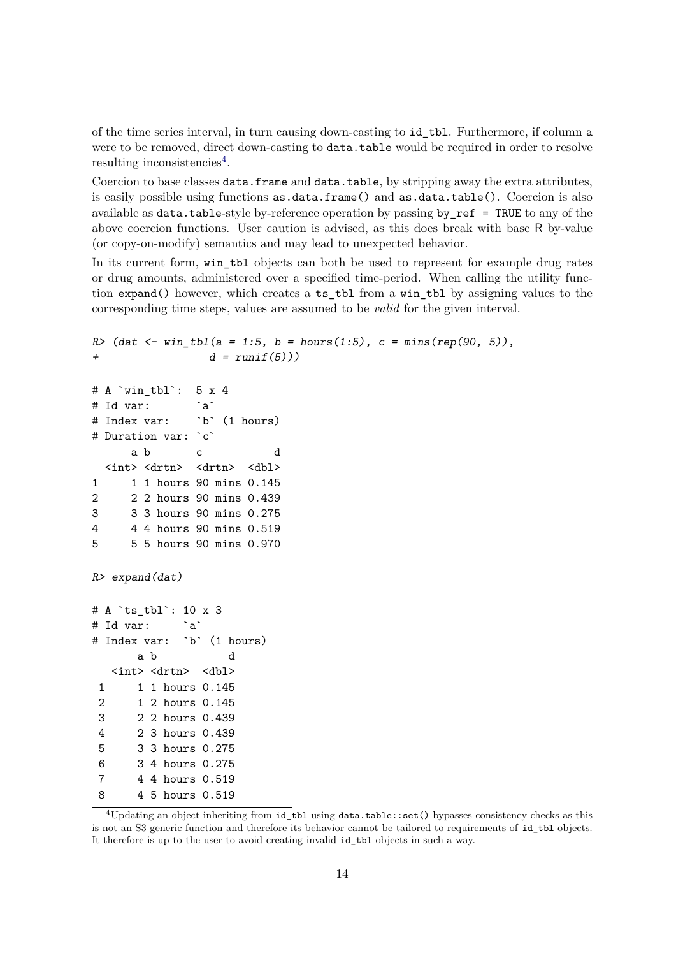of the time series interval, in turn causing down-casting to id\_tbl. Furthermore, if column a were to be removed, direct down-casting to data.table would be required in order to resolve resulting inconsistencies<sup>4</sup>.

Coercion to base classes data.frame and data.table, by stripping away the extra attributes, is easily possible using functions as.data.frame() and as.data.table(). Coercion is also available as data.table-style by-reference operation by passing by\_ref = TRUE to any of the above coercion functions. User caution is advised, as this does break with base R by-value (or copy-on-modify) semantics and may lead to unexpected behavior.

In its current form, win tbl objects can both be used to represent for example drug rates or drug amounts, administered over a specified time-period. When calling the utility function expand() however, which creates a ts\_tbl from a win\_tbl by assigning values to the corresponding time steps, values are assumed to be *valid* for the given interval.

```
R / (dat \le win_tbl(a = 1:5, b = hours(1:5), c = mins(rep(90, 5)),
+ d = runif(5))# A `win_tbl`: 5 x 4
# Id var: `a`
# Index var: `b` (1 hours)
# Duration var: `c`
     a b c d
 <int> <drtn> <drtn> <dbl>
1 1 1 hours 90 mins 0.145
2 2 2 hours 90 mins 0.439
3 3 3 hours 90 mins 0.275
4 4 4 hours 90 mins 0.519
5 5 5 hours 90 mins 0.970
R> expand(dat)
# A `ts tbl`: 10 x 3
# Id var: `a`
# Index var: `b` (1 hours)
      a b d
  <int> <drtn> <dbl>
 1 1 1 hours 0.145
2 1 2 hours 0.145
 3 2 2 hours 0.439
 4 2 3 hours 0.439
 5 3 3 hours 0.275
 6 3 4 hours 0.275
7 4 4 hours 0.519
8 4 5 hours 0.519
```
<sup>4</sup>Updating an object inheriting from id\_tbl using data.table::set() bypasses consistency checks as this is not an S3 generic function and therefore its behavior cannot be tailored to requirements of id\_tbl objects. It therefore is up to the user to avoid creating invalid id\_tbl objects in such a way.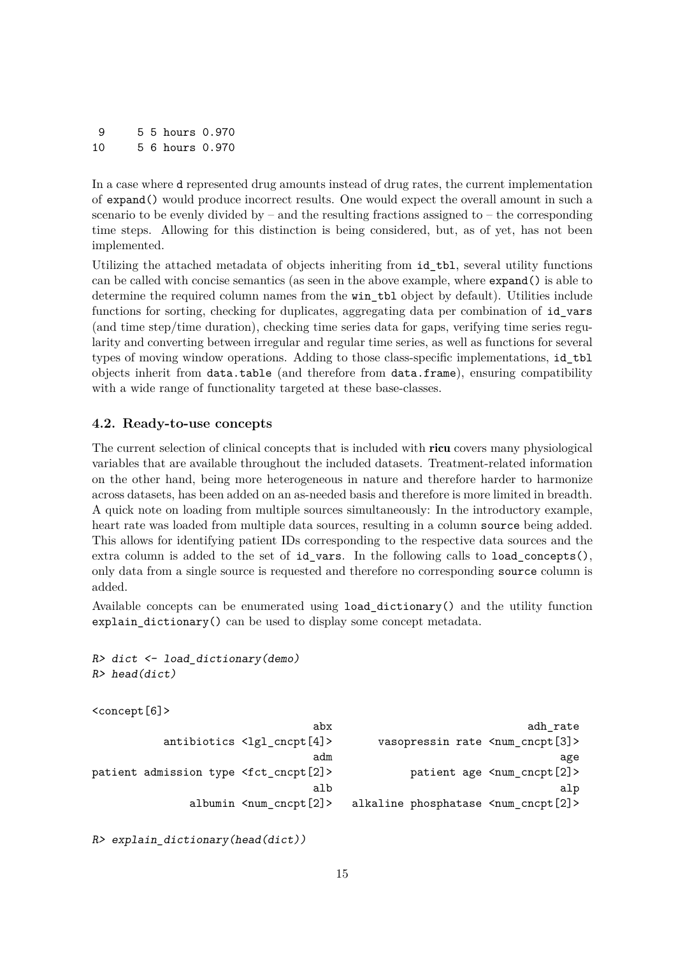9 5 5 hours 0.970 10 5 6 hours 0.970

In a case where d represented drug amounts instead of drug rates, the current implementation of expand() would produce incorrect results. One would expect the overall amount in such a scenario to be evenly divided by – and the resulting fractions assigned to – the corresponding time steps. Allowing for this distinction is being considered, but, as of yet, has not been implemented.

Utilizing the attached metadata of objects inheriting from id\_tbl, several utility functions can be called with concise semantics (as seen in the above example, where expand() is able to determine the required column names from the win tbl object by default). Utilities include functions for sorting, checking for duplicates, aggregating data per combination of id\_vars (and time step/time duration), checking time series data for gaps, verifying time series regularity and converting between irregular and regular time series, as well as functions for several types of moving window operations. Adding to those class-specific implementations, id\_tbl objects inherit from data.table (and therefore from data.frame), ensuring compatibility with a wide range of functionality targeted at these base-classes.

### **4.2. Ready-to-use concepts**

The current selection of clinical concepts that is included with ricu covers many physiological variables that are available throughout the included datasets. Treatment-related information on the other hand, being more heterogeneous in nature and therefore harder to harmonize across datasets, has been added on an as-needed basis and therefore is more limited in breadth. A quick note on loading from multiple sources simultaneously: In the introductory example, heart rate was loaded from multiple data sources, resulting in a column source being added. This allows for identifying patient IDs corresponding to the respective data sources and the extra column is added to the set of id\_vars. In the following calls to load\_concepts(), only data from a single source is requested and therefore no corresponding source column is added.

Available concepts can be enumerated using load\_dictionary() and the utility function explain\_dictionary() can be used to display some concept metadata.

```
R> dict \leq load_dictionary(demo)
R> head(dict)
```

```
<concept[6]>
```

|                                                      | abx                                       |                                                    | adh_rate                                  |
|------------------------------------------------------|-------------------------------------------|----------------------------------------------------|-------------------------------------------|
|                                                      | $antibiotics$ $\langle$ lgl_cncpt $[4]$ > | vasopressin rate <num_cncpt[3]></num_cncpt[3]>     |                                           |
|                                                      | adm                                       |                                                    | age                                       |
| patient admission type <fct_cncpt[2]></fct_cncpt[2]> |                                           |                                                    | patient age <num_cncpt[2]></num_cncpt[2]> |
|                                                      | alb                                       |                                                    | alp                                       |
|                                                      | albumin $\leq$ num cncpt $[2]$ >          | alkaline phosphatase <num_cncpt[2]></num_cncpt[2]> |                                           |

R> explain\_dictionary(head(dict))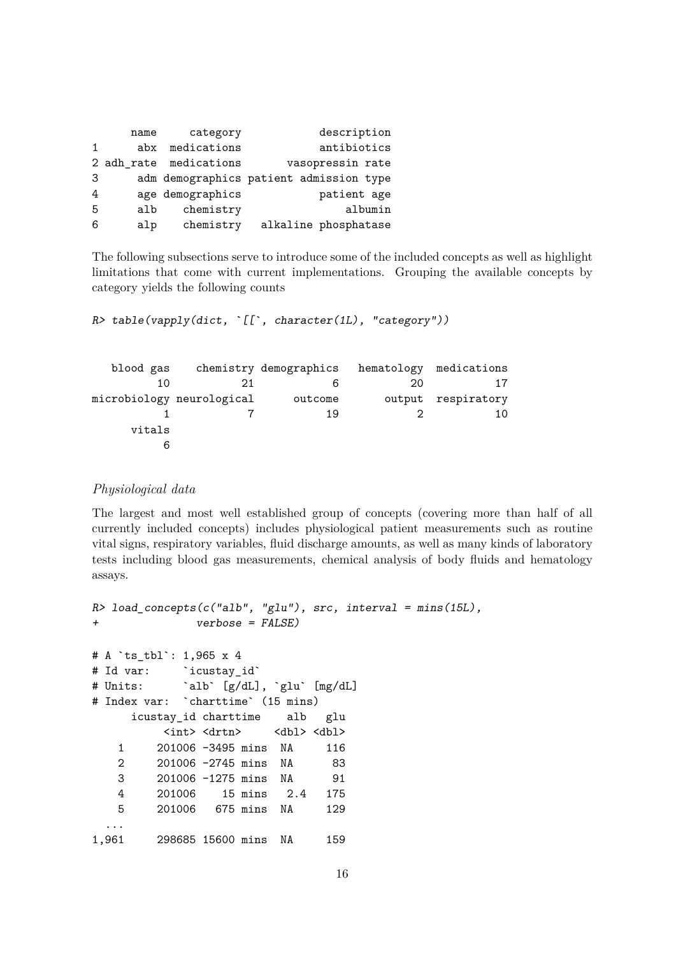|              | name | category               | description                             |
|--------------|------|------------------------|-----------------------------------------|
| $\mathbf{1}$ | abx  | medications            | antibiotics                             |
|              |      | 2 adh_rate medications | vasopressin rate                        |
| 3            |      |                        | adm demographics patient admission type |
| 4            |      | age demographics       | patient age                             |
| 5            | alb  | chemistry              | albumin                                 |
| 6            | alp  | chemistry              | alkaline phosphatase                    |

The following subsections serve to introduce some of the included concepts as well as highlight limitations that come with current implementations. Grouping the available concepts by category yields the following counts

R> table(vapply(dict, `[[`, character(1L), "category"))

| blood gas |                           | chemistry demographics |        | hematology medications |
|-----------|---------------------------|------------------------|--------|------------------------|
| 10        |                           |                        | 20     |                        |
|           | microbiology neurological | outcome                | output | respiratory            |
|           |                           | 19                     |        |                        |
| vitals    |                           |                        |        |                        |
|           |                           |                        |        |                        |

### *Physiological data*

The largest and most well established group of concepts (covering more than half of all currently included concepts) includes physiological patient measurements such as routine vital signs, respiratory variables, fluid discharge amounts, as well as many kinds of laboratory tests including blood gas measurements, chemical analysis of body fluids and hematology assays.

```
R> load_concepts(c("alb", "glu"), src, interval = mins(15L),
+ verbose = FALSE)
# A `ts_tbl`: 1,965 x 4
# Id var: `icustay id`
# Units: `alb` [g/dL], `glu` [mg/dL]
# Index var: `charttime` (15 mins)
    icustay_id charttime alb glu
         <int> <drtn> <dbl> <dbl>
   1 201006 -3495 mins NA 116
   2 201006 -2745 mins NA 83
   3 201006 -1275 mins NA 91
   4 201006 15 mins 2.4 175
   5 201006 675 mins NA 129
 ...
1,961 298685 15600 mins NA 159
```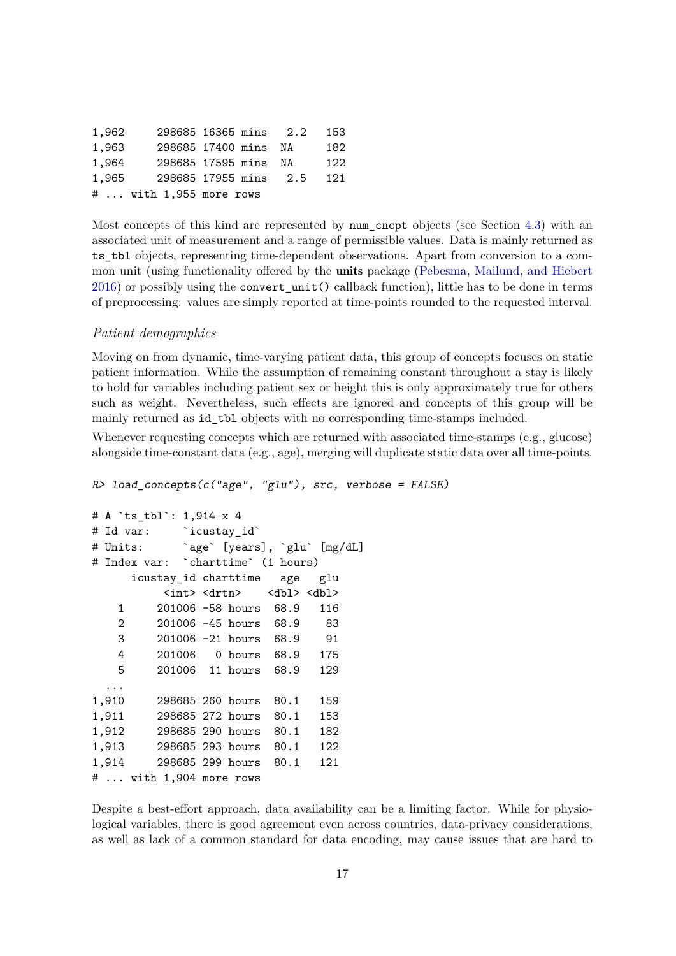| 1,962 | 298685 16365 mins 2.2   |  | 153 |
|-------|-------------------------|--|-----|
| 1,963 | 298685 17400 mins NA    |  | 182 |
| 1,964 | 298685 17595 mins NA    |  | 122 |
| 1,965 | 298685 17955 mins 2.5   |  | 121 |
|       | #  with 1,955 more rows |  |     |

Most concepts of this kind are represented by num\_cncpt objects (see Section 4.3) with an associated unit of measurement and a range of permissible values. Data is mainly returned as ts tbl objects, representing time-dependent observations. Apart from conversion to a common unit (using functionality offered by the **units** package (Pebesma, Mailund, and Hiebert 2016) or possibly using the convert\_unit() callback function), little has to be done in terms of preprocessing: values are simply reported at time-points rounded to the requested interval.

#### *Patient demographics*

Moving on from dynamic, time-varying patient data, this group of concepts focuses on static patient information. While the assumption of remaining constant throughout a stay is likely to hold for variables including patient sex or height this is only approximately true for others such as weight. Nevertheless, such effects are ignored and concepts of this group will be mainly returned as id tbl objects with no corresponding time-stamps included.

Whenever requesting concepts which are returned with associated time-stamps (e.g., glucose) alongside time-constant data (e.g., age), merging will duplicate static data over all time-points.

R> load\_concepts(c("age", "glu"), src, verbose = FALSE)

```
# A `ts_tbl`: 1,914 x 4
# Id var: `icustay_id`
# Units: `age` [years], `glu` [mg/dL]
# Index var: `charttime` (1 hours)
     icustay_id charttime age glu
         <int> <drtn> <dbl> <dbl>
   1 201006 -58 hours 68.9 116
   2 201006 -45 hours 68.9 83
   3 201006 -21 hours 68.9 91
   4 201006 0 hours 68.9 175
   5 201006 11 hours 68.9 129
 ...
1,910 298685 260 hours 80.1 159
1,911 298685 272 hours 80.1 153
1,912 298685 290 hours 80.1 182
1,913 298685 293 hours 80.1 122
1,914 298685 299 hours 80.1 121
# ... with 1,904 more rows
```
Despite a best-effort approach, data availability can be a limiting factor. While for physiological variables, there is good agreement even across countries, data-privacy considerations, as well as lack of a common standard for data encoding, may cause issues that are hard to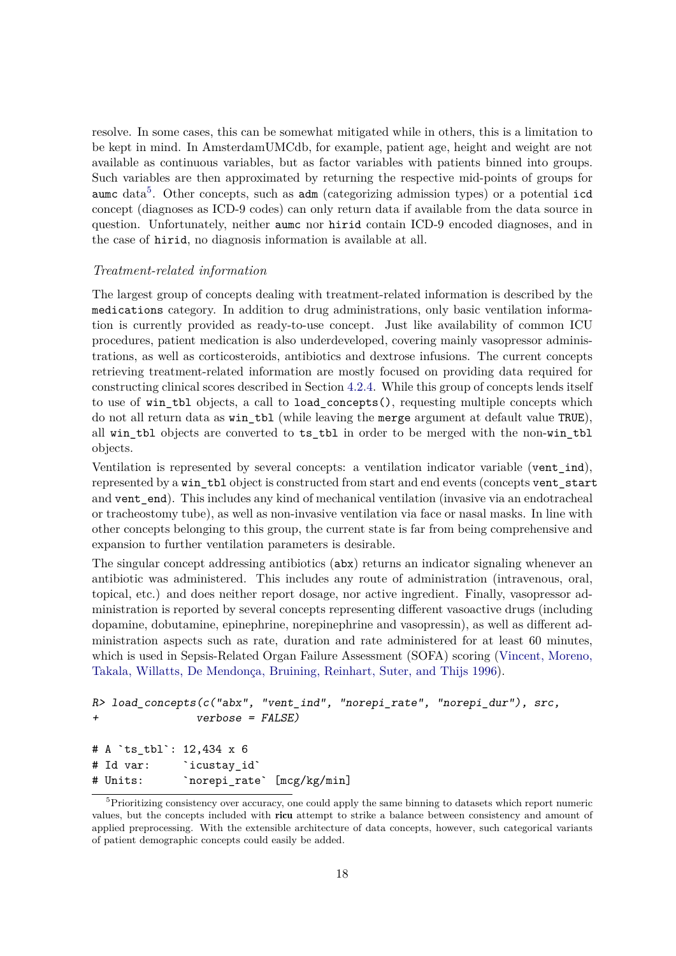resolve. In some cases, this can be somewhat mitigated while in others, this is a limitation to be kept in mind. In AmsterdamUMCdb, for example, patient age, height and weight are not available as continuous variables, but as factor variables with patients binned into groups. Such variables are then approximated by returning the respective mid-points of groups for aumc data<sup>5</sup>. Other concepts, such as adm (categorizing admission types) or a potential icd concept (diagnoses as ICD-9 codes) can only return data if available from the data source in question. Unfortunately, neither aumc nor hirid contain ICD-9 encoded diagnoses, and in the case of hirid, no diagnosis information is available at all.

#### *Treatment-related information*

The largest group of concepts dealing with treatment-related information is described by the medications category. In addition to drug administrations, only basic ventilation information is currently provided as ready-to-use concept. Just like availability of common ICU procedures, patient medication is also underdeveloped, covering mainly vasopressor administrations, as well as corticosteroids, antibiotics and dextrose infusions. The current concepts retrieving treatment-related information are mostly focused on providing data required for constructing clinical scores described in Section 4.2.4. While this group of concepts lends itself to use of win\_tbl objects, a call to load\_concepts(), requesting multiple concepts which do not all return data as win\_tbl (while leaving the merge argument at default value TRUE), all win tbl objects are converted to ts tbl in order to be merged with the non-win tbl objects.

Ventilation is represented by several concepts: a ventilation indicator variable (vent\_ind), represented by a win\_tbl object is constructed from start and end events (concepts vent\_start and vent\_end). This includes any kind of mechanical ventilation (invasive via an endotracheal or tracheostomy tube), as well as non-invasive ventilation via face or nasal masks. In line with other concepts belonging to this group, the current state is far from being comprehensive and expansion to further ventilation parameters is desirable.

The singular concept addressing antibiotics (abx) returns an indicator signaling whenever an antibiotic was administered. This includes any route of administration (intravenous, oral, topical, etc.) and does neither report dosage, nor active ingredient. Finally, vasopressor administration is reported by several concepts representing different vasoactive drugs (including dopamine, dobutamine, epinephrine, norepinephrine and vasopressin), as well as different administration aspects such as rate, duration and rate administered for at least 60 minutes, which is used in Sepsis-Related Organ Failure Assessment (SOFA) scoring (Vincent, Moreno, Takala, Willatts, De Mendonça, Bruining, Reinhart, Suter, and Thijs 1996).

```
R> load_concepts(c("abx", "vent_ind", "norepi_rate", "norepi_dur"), src,
+ verbose = FALSE)
# A `ts_tbl`: 12,434 x 6
# Id var: `icustay_id`
# Units: `norepi_rate` [mcg/kg/min]
```
<sup>&</sup>lt;sup>5</sup>Prioritizing consistency over accuracy, one could apply the same binning to datasets which report numeric values, but the concepts included with ricu attempt to strike a balance between consistency and amount of applied preprocessing. With the extensible architecture of data concepts, however, such categorical variants of patient demographic concepts could easily be added.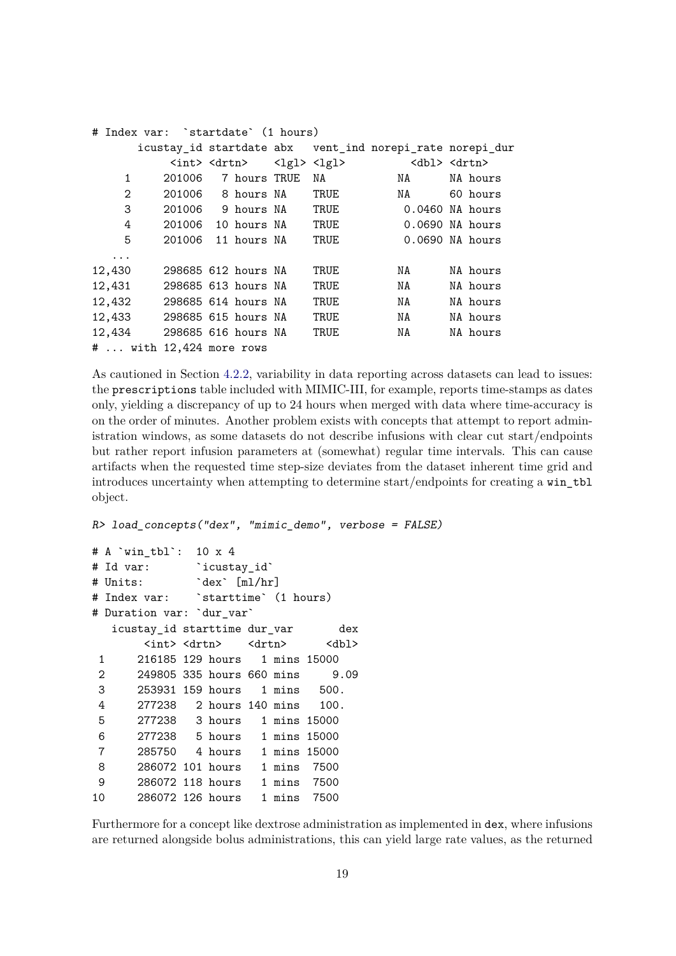|        | # Index var: `startdate` (1 hours) |              |                         |      |                                                          |                           |
|--------|------------------------------------|--------------|-------------------------|------|----------------------------------------------------------|---------------------------|
|        |                                    |              |                         |      | icustay_id startdate abx vent_ind norepi_rate norepi_dur |                           |
|        | <int> <drtn></drtn></int>          |              | <lgl> <lgl></lgl></lgl> |      |                                                          | <dbl> <drtn></drtn></dbl> |
| 1      | 201006                             | 7 hours TRUE |                         | NA   | NA                                                       | NA hours                  |
| 2      | 201006 8 hours NA                  |              |                         | TRUE | NA                                                       | 60 hours                  |
| 3      | 201006 9 hours NA                  |              |                         | TRUE |                                                          | $0.0460$ NA hours         |
| 4      | 201006                             | 10 hours NA  |                         | TRUE |                                                          | $0.0690$ NA hours         |
| 5      | 201006                             | 11 hours NA  |                         | TRUE |                                                          | $0.0690$ NA hours         |
| .      |                                    |              |                         |      |                                                          |                           |
| 12,430 | 298685 612 hours NA                |              |                         | TRUE | NA                                                       | NA hours                  |
| 12,431 | 298685 613 hours NA                |              |                         | TRUE | NA                                                       | NA hours                  |
| 12,432 | 298685 614 hours NA                |              |                         | TRUE | NA                                                       | NA hours                  |
| 12,433 | 298685 615 hours NA                |              |                         | TRUE | NA                                                       | NA hours                  |
| 12,434 | 298685 616 hours NA                |              |                         | TRUE | NA                                                       | NA hours                  |
|        | $# \ldots$ with 12,424 more rows   |              |                         |      |                                                          |                           |

As cautioned in Section 4.2.2, variability in data reporting across datasets can lead to issues: the prescriptions table included with MIMIC-III, for example, reports time-stamps as dates only, yielding a discrepancy of up to 24 hours when merged with data where time-accuracy is on the order of minutes. Another problem exists with concepts that attempt to report administration windows, as some datasets do not describe infusions with clear cut start/endpoints but rather report infusion parameters at (somewhat) regular time intervals. This can cause artifacts when the requested time step-size deviates from the dataset inherent time grid and introduces uncertainty when attempting to determine start/endpoints for creating a win\_tbl object.

R> load\_concepts("dex", "mimic\_demo", verbose = FALSE)

```
# A `win_tbl`: 10 x 4
# Id var: `icustav id`
# Units: `dex` [ml/hr]
# Index var: `starttime` (1 hours)
# Duration var: `dur_var`
  icustay_id starttime dur_var dex
      <int> <drtn> <drtn> <dbl>
1 216185 129 hours 1 mins 15000
2 249805 335 hours 660 mins 9.09
3 253931 159 hours 1 mins 500.
4 277238 2 hours 140 mins 100.
5 277238 3 hours 1 mins 15000
6 277238 5 hours 1 mins 15000
7 285750 4 hours 1 mins 15000
8 286072 101 hours 1 mins 7500
9 286072 118 hours 1 mins 7500
10 286072 126 hours 1 mins 7500
```
Furthermore for a concept like dextrose administration as implemented in dex, where infusions are returned alongside bolus administrations, this can yield large rate values, as the returned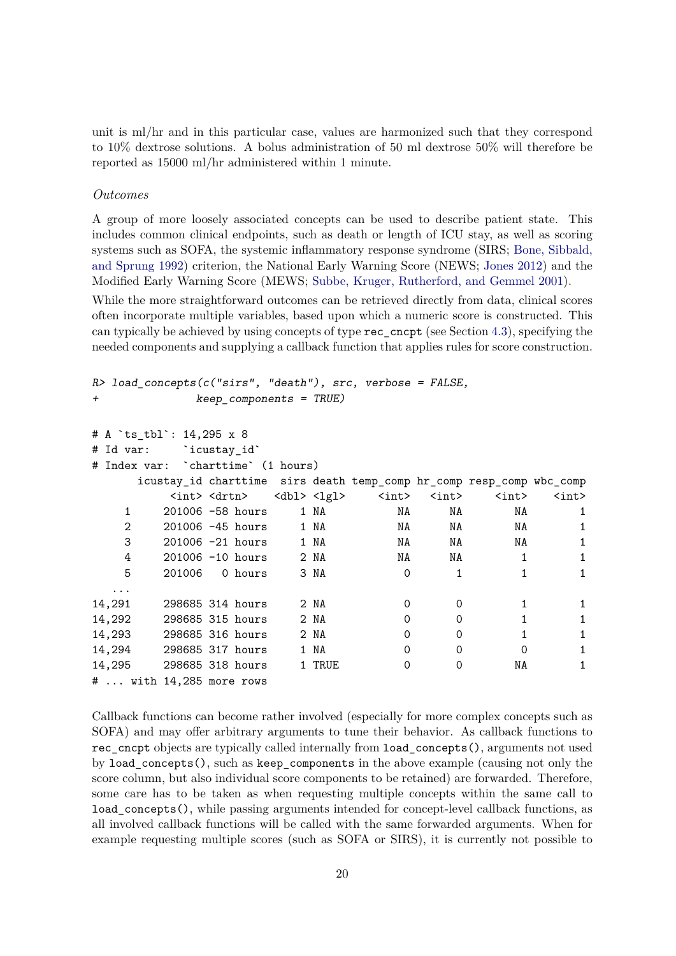unit is ml/hr and in this particular case, values are harmonized such that they correspond to 10% dextrose solutions. A bolus administration of 50 ml dextrose 50% will therefore be reported as 15000 ml/hr administered within 1 minute.

#### *Outcomes*

A group of more loosely associated concepts can be used to describe patient state. This includes common clinical endpoints, such as death or length of ICU stay, as well as scoring systems such as SOFA, the systemic inflammatory response syndrome (SIRS; Bone, Sibbald, and Sprung 1992) criterion, the National Early Warning Score (NEWS; Jones 2012) and the Modified Early Warning Score (MEWS; Subbe, Kruger, Rutherford, and Gemmel 2001).

While the more straightforward outcomes can be retrieved directly from data, clinical scores often incorporate multiple variables, based upon which a numeric score is constructed. This can typically be achieved by using concepts of type rec\_cncpt (see Section 4.3), specifying the needed components and supplying a callback function that applies rules for score construction.

```
R> load concepts(c("sirs", "death"), src, verbose = FALSE,
+ keep_components = TRUE)
```

```
# A `ts_tbl`: 14,295 x 8
# Id var: `icustay_id`
# Index var: `charttime` (1 hours)
    icustay_id charttime sirs death temp_comp hr_comp resp_comp wbc_comp
       <int> <drtn> <dbl> <lgl> <int> <int> <int> <int>
  1 201006 -58 hours 1 NA NA NA NA 1
  2 201006 -45 hours 1 NA NA NA NA 1
  3 201006 -21 hours 1 NA NA NA NA 1
  4 201006 -10 hours 2 NA NA NA 1 1
   5 201006 0 hours 3 NA 0 1 1 1 1
 ...
14,291 298685 314 hours 2 NA 0 0 1 1 1
14,292 298685 315 hours 2 NA 0 0 1 1
14,293 298685 316 hours 2 NA 0 0 1 1 1
14,294 298685 317 hours 1 NA 0 0 0 1
14,295 298685 318 hours 1 TRUE 0 0 NA 1
# ... with 14,285 more rows
```
Callback functions can become rather involved (especially for more complex concepts such as SOFA) and may offer arbitrary arguments to tune their behavior. As callback functions to rec\_cncpt objects are typically called internally from load\_concepts(), arguments not used by load\_concepts(), such as keep\_components in the above example (causing not only the score column, but also individual score components to be retained) are forwarded. Therefore, some care has to be taken as when requesting multiple concepts within the same call to load\_concepts(), while passing arguments intended for concept-level callback functions, as all involved callback functions will be called with the same forwarded arguments. When for example requesting multiple scores (such as SOFA or SIRS), it is currently not possible to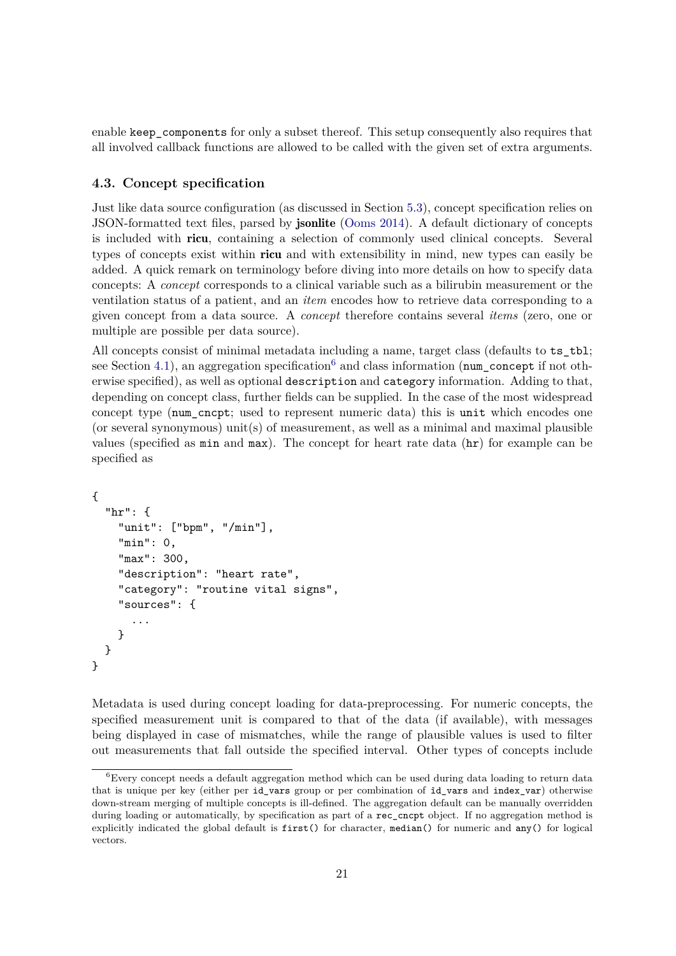enable keep components for only a subset thereof. This setup consequently also requires that all involved callback functions are allowed to be called with the given set of extra arguments.

### **4.3. Concept specification**

Just like data source configuration (as discussed in Section 5.3), concept specification relies on JSON-formatted text files, parsed by jsonlite (Ooms 2014). A default dictionary of concepts is included with ricu, containing a selection of commonly used clinical concepts. Several types of concepts exist within ricu and with extensibility in mind, new types can easily be added. A quick remark on terminology before diving into more details on how to specify data concepts: A *concept* corresponds to a clinical variable such as a bilirubin measurement or the ventilation status of a patient, and an *item* encodes how to retrieve data corresponding to a given concept from a data source. A *concept* therefore contains several *items* (zero, one or multiple are possible per data source).

All concepts consist of minimal metadata including a name, target class (defaults to  $ts_t$ tbl; see Section 4.1), an aggregation specification<sup>6</sup> and class information (num\_concept if not otherwise specified), as well as optional description and category information. Adding to that, depending on concept class, further fields can be supplied. In the case of the most widespread concept type (num\_cncpt; used to represent numeric data) this is unit which encodes one (or several synonymous) unit(s) of measurement, as well as a minimal and maximal plausible values (specified as  $min$  and  $max$ ). The concept for heart rate data  $(nr)$  for example can be specified as

```
{
  "hr": {
    "unit": ["bpm", "/min"],
    "min": 0,
    "max": 300,
    "description": "heart rate",
    "category": "routine vital signs",
    "sources": {
      ...
    }
 }
}
```
Metadata is used during concept loading for data-preprocessing. For numeric concepts, the specified measurement unit is compared to that of the data (if available), with messages being displayed in case of mismatches, while the range of plausible values is used to filter out measurements that fall outside the specified interval. Other types of concepts include

<sup>6</sup>Every concept needs a default aggregation method which can be used during data loading to return data that is unique per key (either per id\_vars group or per combination of ìd\_vars and index\_var) otherwise down-stream merging of multiple concepts is ill-defined. The aggregation default can be manually overridden during loading or automatically, by specification as part of a rec\_cncpt object. If no aggregation method is explicitly indicated the global default is first() for character, median() for numeric and any() for logical vectors.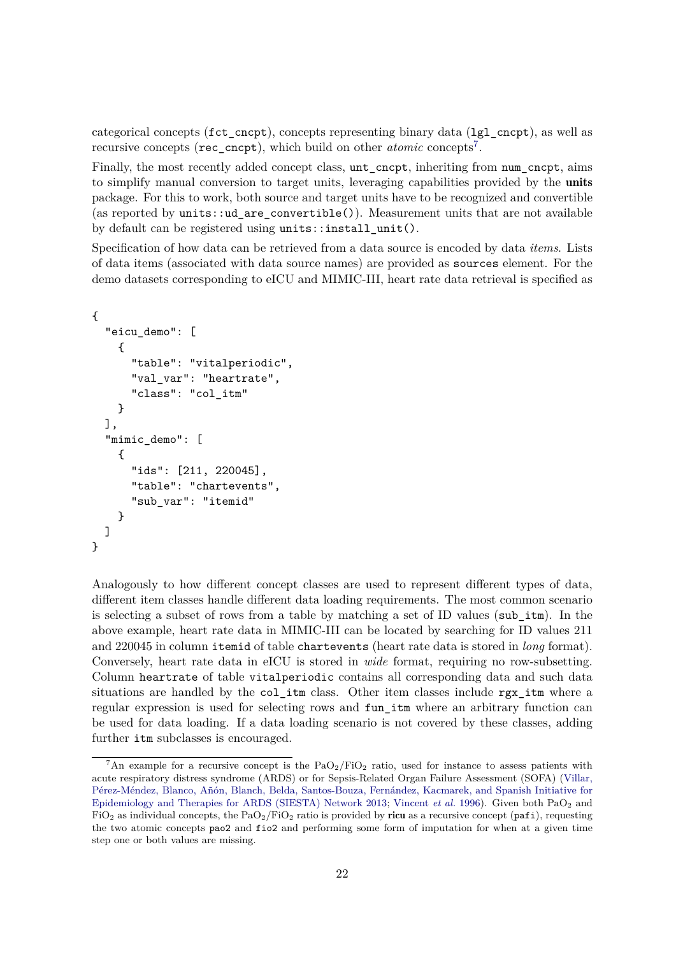categorical concepts (fct\_cncpt), concepts representing binary data (lgl\_cncpt), as well as recursive concepts (rec\_cncpt), which build on other *atomic* concepts<sup>7</sup> .

Finally, the most recently added concept class, unt\_cncpt, inheriting from num\_cncpt, aims to simplify manual conversion to target units, leveraging capabilities provided by the units package. For this to work, both source and target units have to be recognized and convertible (as reported by units::ud\_are\_convertible()). Measurement units that are not available by default can be registered using units::install\_unit().

Specification of how data can be retrieved from a data source is encoded by data *items*. Lists of data items (associated with data source names) are provided as sources element. For the demo datasets corresponding to eICU and MIMIC-III, heart rate data retrieval is specified as

```
{
  "eicu_demo": [
    {
      "table": "vitalperiodic",
      "val_var": "heartrate",
      "class": "col_itm"
    }
 ],
  "mimic_demo": [
    {
      "ids": [211, 220045],
      "table": "chartevents",
      "sub_var": "itemid"
    }
 ]
}
```
Analogously to how different concept classes are used to represent different types of data, different item classes handle different data loading requirements. The most common scenario is selecting a subset of rows from a table by matching a set of ID values (sub\_itm). In the above example, heart rate data in MIMIC-III can be located by searching for ID values 211 and 220045 in column itemid of table chartevents (heart rate data is stored in *long* format). Conversely, heart rate data in eICU is stored in *wide* format, requiring no row-subsetting. Column heartrate of table vitalperiodic contains all corresponding data and such data situations are handled by the col\_itm class. Other item classes include  $\texttt{rgx}_i$  itm where a regular expression is used for selecting rows and fun\_itm where an arbitrary function can be used for data loading. If a data loading scenario is not covered by these classes, adding further itm subclasses is encouraged.

<sup>&</sup>lt;sup>7</sup>An example for a recursive concept is the  $PaO<sub>2</sub>/FiO<sub>2</sub>$  ratio, used for instance to assess patients with acute respiratory distress syndrome (ARDS) or for Sepsis-Related Organ Failure Assessment (SOFA) (Villar, Pérez-Méndez, Blanco, Añón, Blanch, Belda, Santos-Bouza, Fernández, Kacmarek, and Spanish Initiative for Epidemiology and Therapies for ARDS (SIESTA) Network 2013; Vincent *et al.* 1996). Given both PaO<sup>2</sup> and  $FiO<sub>2</sub>$  as individual concepts, the PaO<sub>2</sub>/FiO<sub>2</sub> ratio is provided by ricu as a recursive concept (pafi), requesting the two atomic concepts pao2 and fio2 and performing some form of imputation for when at a given time step one or both values are missing.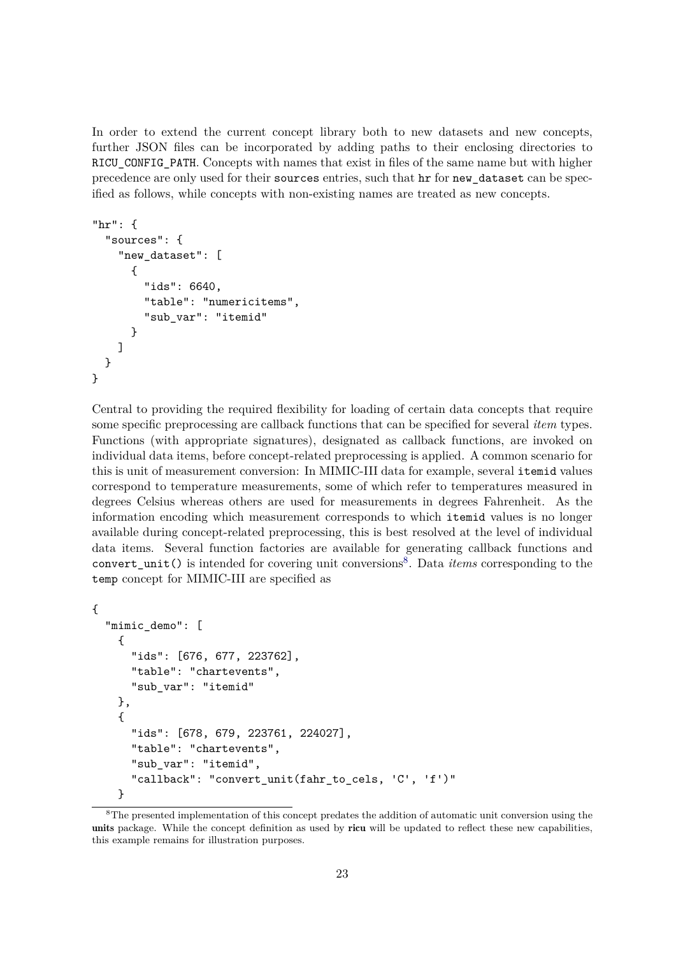In order to extend the current concept library both to new datasets and new concepts, further JSON files can be incorporated by adding paths to their enclosing directories to RICU\_CONFIG\_PATH. Concepts with names that exist in files of the same name but with higher precedence are only used for their sources entries, such that hr for new\_dataset can be specified as follows, while concepts with non-existing names are treated as new concepts.

```
"hr": {
  "sources": {
    "new_dataset": [
      {
        "ids": 6640,
        "table": "numericitems",
        "sub_var": "itemid"
      }
    ]
 }
}
```
Central to providing the required flexibility for loading of certain data concepts that require some specific preprocessing are callback functions that can be specified for several *item* types. Functions (with appropriate signatures), designated as callback functions, are invoked on individual data items, before concept-related preprocessing is applied. A common scenario for this is unit of measurement conversion: In MIMIC-III data for example, several itemid values correspond to temperature measurements, some of which refer to temperatures measured in degrees Celsius whereas others are used for measurements in degrees Fahrenheit. As the information encoding which measurement corresponds to which itemid values is no longer available during concept-related preprocessing, this is best resolved at the level of individual data items. Several function factories are available for generating callback functions and convert\_unit() is intended for covering unit conversions<sup>8</sup>. Data *items* corresponding to the temp concept for MIMIC-III are specified as

```
{
  "mimic_demo": [
    {
      "ids": [676, 677, 223762],
      "table": "chartevents",
      "sub_var": "itemid"
   },
    {
      "ids": [678, 679, 223761, 224027],
      "table": "chartevents",
      "sub_var": "itemid",
      "callback": "convert_unit(fahr_to_cels, 'C', 'f')"
   }
```
<sup>8</sup>The presented implementation of this concept predates the addition of automatic unit conversion using the units package. While the concept definition as used by ricu will be updated to reflect these new capabilities, this example remains for illustration purposes.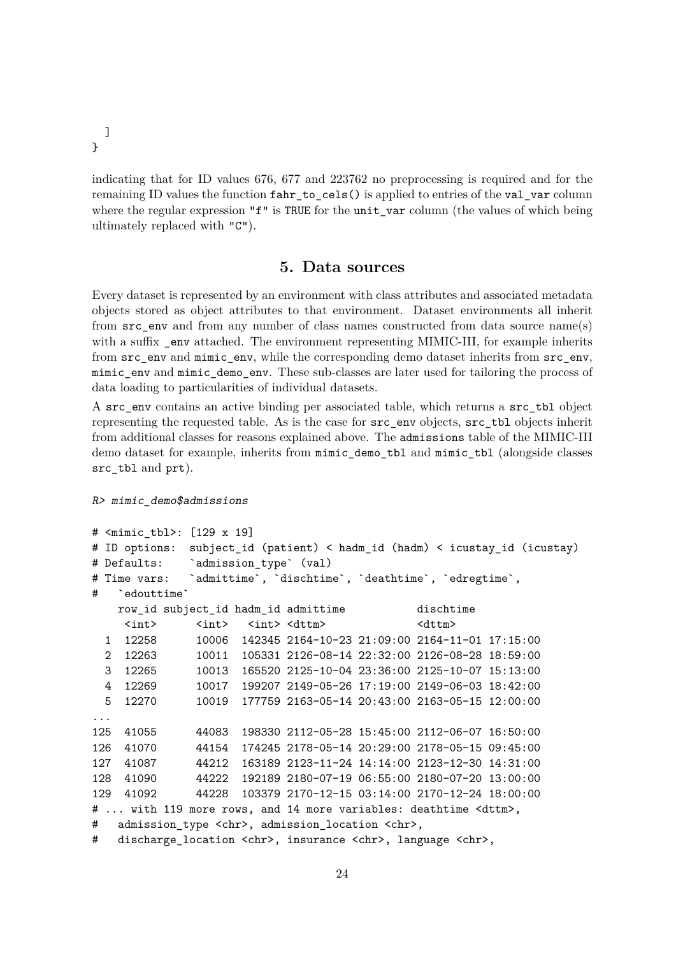}

 $\mathbf{I}$ 

indicating that for ID values 676, 677 and 223762 no preprocessing is required and for the remaining ID values the function fahr to cels() is applied to entries of the val var column where the regular expression "f" is TRUE for the unit\_var column (the values of which being ultimately replaced with "C").

### **5. Data sources**

Every dataset is represented by an environment with class attributes and associated metadata objects stored as object attributes to that environment. Dataset environments all inherit from src\_env and from any number of class names constructed from data source name(s) with a suffix env attached. The environment representing MIMIC-III, for example inherits from  $src$  env and mimic\_env, while the corresponding demo dataset inherits from  $src$  env, mimic\_env and mimic\_demo\_env. These sub-classes are later used for tailoring the process of data loading to particularities of individual datasets.

A src\_env contains an active binding per associated table, which returns a src\_tbl object representing the requested table. As is the case for src\_env objects, src\_tbl objects inherit from additional classes for reasons explained above. The admissions table of the MIMIC-III demo dataset for example, inherits from mimic\_demo\_tbl and mimic\_tbl (alongside classes src\_tbl and prt).

R> mimic\_demo\$admissions

```
# <mimic_tbl>: [129 x 19]
# ID options: subject_id (patient) < hadm_id (hadm) < icustay_id (icustay)
# Defaults: `admission_type` (val)
# Time vars: `admittime`, `dischtime`, `deathtime`, `edregtime`,
# `edouttime`
   row_id subject_id hadm_id admittime dischtime
    <int> <int> <int> <dttm> <dttm> <dttm>
 1 12258 10006 142345 2164-10-23 21:09:00 2164-11-01 17:15:00
 2 12263 10011 105331 2126-08-14 22:32:00 2126-08-28 18:59:00
 3 12265 10013 165520 2125-10-04 23:36:00 2125-10-07 15:13:00
 4 12269 10017 199207 2149-05-26 17:19:00 2149-06-03 18:42:00
 5 12270 10019 177759 2163-05-14 20:43:00 2163-05-15 12:00:00
...
125 41055 44083 198330 2112-05-28 15:45:00 2112-06-07 16:50:00
126 41070 44154 174245 2178-05-14 20:29:00 2178-05-15 09:45:00
127 41087 44212 163189 2123-11-24 14:14:00 2123-12-30 14:31:00
128 41090 44222 192189 2180-07-19 06:55:00 2180-07-20 13:00:00
129 41092 44228 103379 2170-12-15 03:14:00 2170-12-24 18:00:00
# ... with 119 more rows, and 14 more variables: deathtime <dttm>,
# admission_type <chr>, admission_location <chr>,
# discharge_location <chr>, insurance <chr>, language <chr>,
```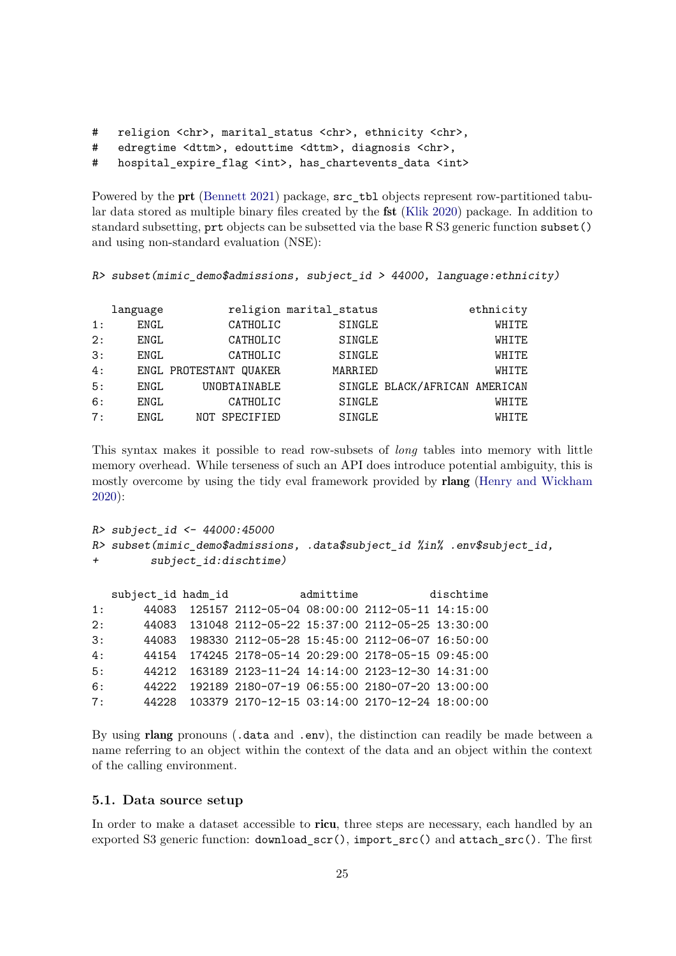```
# religion <chr>, marital_status <chr>, ethnicity <chr>,
```

```
# edregtime <dttm>, edouttime <dttm>, diagnosis <chr>,
```
# hospital\_expire\_flag <int>, has\_chartevents\_data <int>

Powered by the prt (Bennett 2021) package, src\_tbl objects represent row-partitioned tabular data stored as multiple binary files created by the fst (Klik 2020) package. In addition to standard subsetting, prt objects can be subsetted via the base R S3 generic function subset() and using non-standard evaluation (NSE):

```
R> subset(mimic_demo$admissions, subject_id > 44000, language:ethnicity)
```

|    | language |                        | religion marital_status |                               | ethnicity |
|----|----------|------------------------|-------------------------|-------------------------------|-----------|
| 1: | ENGL     | CATHOLIC               | SINGLE                  |                               | WHITE     |
| 2: | ENGL     | CATHOLIC               | SINGLE                  |                               | WHITE     |
| 3: | ENGL     | CATHOLIC               | SINGLE                  |                               | WHITE     |
| 4: |          | ENGL PROTESTANT QUAKER | MARRIED                 |                               | WHITE     |
| 5: | ENGL     | UNOBTAINABLE           |                         | SINGLE BLACK/AFRICAN AMERICAN |           |
| 6: | ENGL     | CATHOLIC               | SINGLE                  |                               | WHITE     |
| 7: | ENGL     | NOT SPECIFIED          | SINGLE                  |                               | WHITE     |

This syntax makes it possible to read row-subsets of *long* tables into memory with little memory overhead. While terseness of such an API does introduce potential ambiguity, this is mostly overcome by using the tidy eval framework provided by rlang (Henry and Wickham 2020):

```
R> subject_id <- 44000:45000
R> subset(mimic_demo$admissions, .data$subject_id %in% .env$subject_id,
+ subject_id:dischtime)
```

|     | subject id hadm id |                                                      | admittime | dischtime |
|-----|--------------------|------------------------------------------------------|-----------|-----------|
| 1:  | 44083              | 125157 2112-05-04 08:00:00 2112-05-11 14:15:00       |           |           |
| 2:  |                    | 44083 131048 2112-05-22 15:37:00 2112-05-25 13:30:00 |           |           |
| 3:  | 44083              | 198330 2112-05-28 15:45:00 2112-06-07 16:50:00       |           |           |
| 4 : |                    | 44154 174245 2178-05-14 20:29:00 2178-05-15 09:45:00 |           |           |
| 5:  |                    | 44212 163189 2123-11-24 14:14:00 2123-12-30 14:31:00 |           |           |
| 6:  | 44222              | 192189 2180-07-19 06:55:00 2180-07-20 13:00:00       |           |           |
| 7:  | 44228              | 103379 2170-12-15 03:14:00 2170-12-24 18:00:00       |           |           |
|     |                    |                                                      |           |           |

By using rlang pronouns (.data and .env), the distinction can readily be made between a name referring to an object within the context of the data and an object within the context of the calling environment.

### **5.1. Data source setup**

In order to make a dataset accessible to **ricu**, three steps are necessary, each handled by an exported S3 generic function: download\_scr(), import\_src() and attach\_src(). The first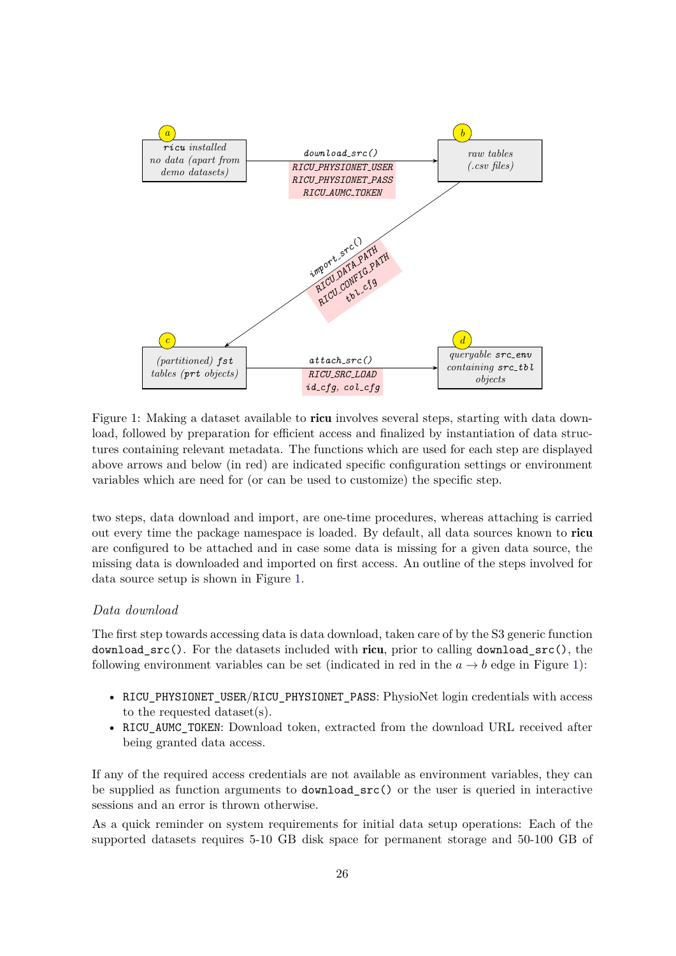

Figure 1: Making a dataset available to ricu involves several steps, starting with data download, followed by preparation for efficient access and finalized by instantiation of data structures containing relevant metadata. The functions which are used for each step are displayed above arrows and below (in red) are indicated specific configuration settings or environment variables which are need for (or can be used to customize) the specific step.

two steps, data download and import, are one-time procedures, whereas attaching is carried out every time the package namespace is loaded. By default, all data sources known to ricu are configured to be attached and in case some data is missing for a given data source, the missing data is downloaded and imported on first access. An outline of the steps involved for data source setup is shown in Figure 1.

### *Data download*

The first step towards accessing data is data download, taken care of by the S3 generic function download\_src(). For the datasets included with ricu, prior to calling download\_src(), the following environment variables can be set (indicated in red in the  $a \rightarrow b$  edge in Figure 1):

- RICU\_PHYSIONET\_USER/RICU\_PHYSIONET\_PASS: PhysioNet login credentials with access to the requested dataset(s).
- RICU\_AUMC\_TOKEN: Download token, extracted from the download URL received after being granted data access.

If any of the required access credentials are not available as environment variables, they can be supplied as function arguments to download\_src() or the user is queried in interactive sessions and an error is thrown otherwise.

As a quick reminder on system requirements for initial data setup operations: Each of the supported datasets requires 5-10 GB disk space for permanent storage and 50-100 GB of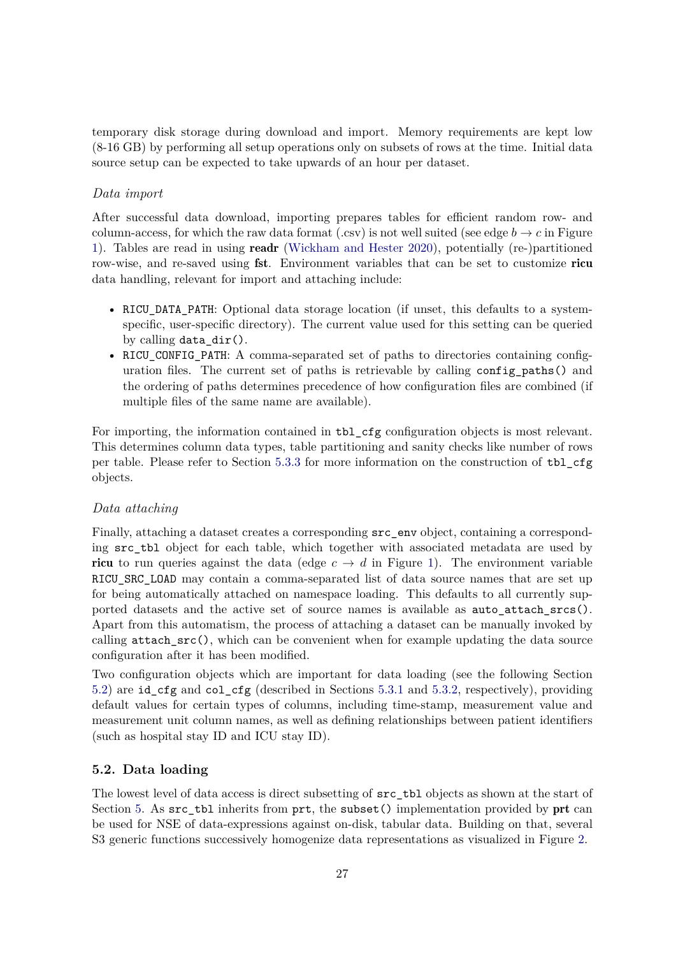temporary disk storage during download and import. Memory requirements are kept low (8-16 GB) by performing all setup operations only on subsets of rows at the time. Initial data source setup can be expected to take upwards of an hour per dataset.

### *Data import*

After successful data download, importing prepares tables for efficient random row- and column-access, for which the raw data format (.csv) is not well suited (see edge  $b \to c$  in Figure 1). Tables are read in using readr (Wickham and Hester 2020), potentially (re-)partitioned row-wise, and re-saved using **fst**. Environment variables that can be set to customize ricu data handling, relevant for import and attaching include:

- RICU DATA PATH: Optional data storage location (if unset, this defaults to a systemspecific, user-specific directory). The current value used for this setting can be queried by calling data\_dir().
- RICU CONFIG PATH: A comma-separated set of paths to directories containing configuration files. The current set of paths is retrievable by calling config\_paths() and the ordering of paths determines precedence of how configuration files are combined (if multiple files of the same name are available).

For importing, the information contained in tbl\_cfg configuration objects is most relevant. This determines column data types, table partitioning and sanity checks like number of rows per table. Please refer to Section 5.3.3 for more information on the construction of tbl\_cfg objects.

### *Data attaching*

Finally, attaching a dataset creates a corresponding src\_env object, containing a corresponding src\_tbl object for each table, which together with associated metadata are used by **ricu** to run queries against the data (edge  $c \rightarrow d$  in Figure 1). The environment variable RICU SRC LOAD may contain a comma-separated list of data source names that are set up for being automatically attached on namespace loading. This defaults to all currently supported datasets and the active set of source names is available as auto\_attach\_srcs(). Apart from this automatism, the process of attaching a dataset can be manually invoked by calling  $attach$   $src()$ , which can be convenient when for example updating the data source configuration after it has been modified.

Two configuration objects which are important for data loading (see the following Section 5.2) are id cfg and col cfg (described in Sections 5.3.1 and 5.3.2, respectively), providing default values for certain types of columns, including time-stamp, measurement value and measurement unit column names, as well as defining relationships between patient identifiers (such as hospital stay ID and ICU stay ID).

### **5.2. Data loading**

The lowest level of data access is direct subsetting of src\_tbl objects as shown at the start of Section 5. As src\_tbl inherits from prt, the subset() implementation provided by prt can be used for NSE of data-expressions against on-disk, tabular data. Building on that, several S3 generic functions successively homogenize data representations as visualized in Figure 2.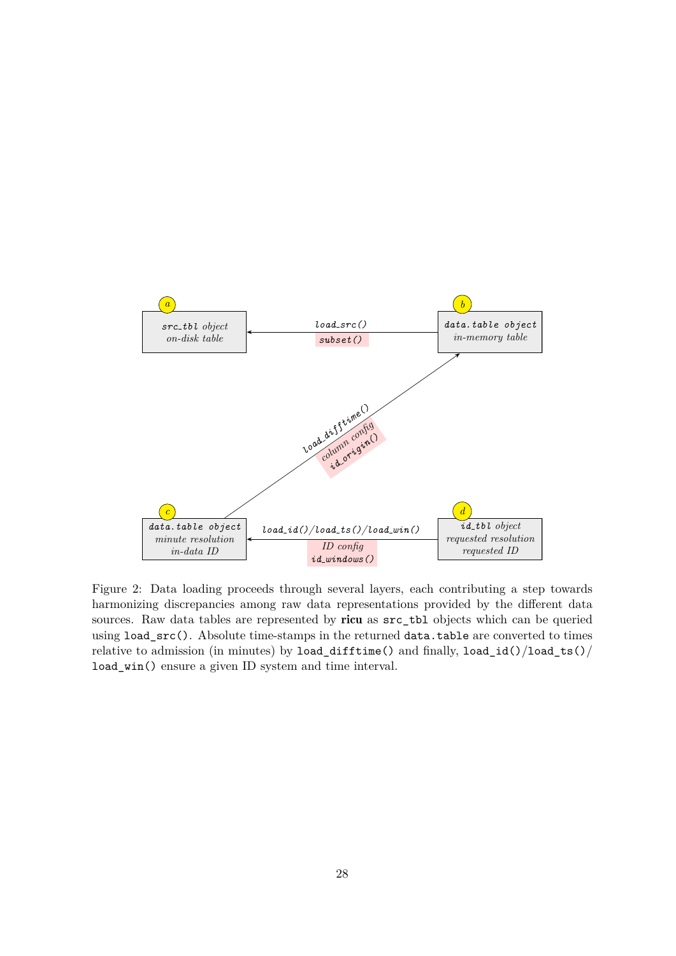

Figure 2: Data loading proceeds through several layers, each contributing a step towards harmonizing discrepancies among raw data representations provided by the different data sources. Raw data tables are represented by ricu as src\_tbl objects which can be queried using load\_src(). Absolute time-stamps in the returned data.table are converted to times relative to admission (in minutes) by load\_difftime() and finally, load\_id()/load\_ts()/ load\_win() ensure a given ID system and time interval.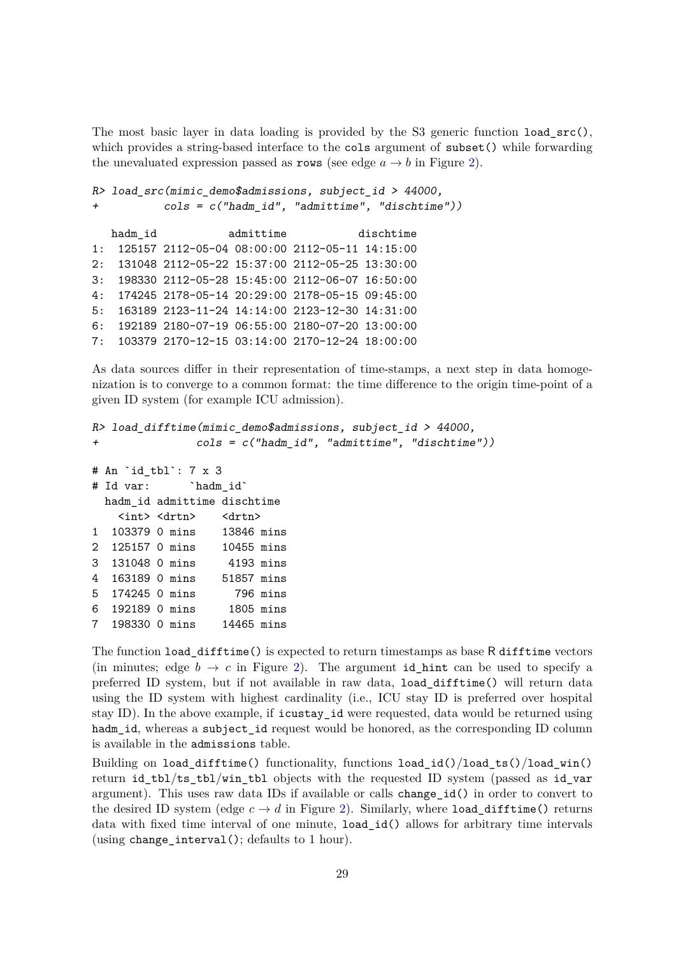The most basic layer in data loading is provided by the S3 generic function load  $src($ ), which provides a string-based interface to the cols argument of subset() while forwarding the unevaluated expression passed as rows (see edge  $a \rightarrow b$  in Figure 2).

```
R> load src(mimic demo$admissions, subject id > 44000,
+ cols = c("hadm_id", "admittime", "dischtime"))
  hadm_id admittime dischtime
1: 125157 2112-05-04 08:00:00 2112-05-11 14:15:00
2: 131048 2112-05-22 15:37:00 2112-05-25 13:30:00
3: 198330 2112-05-28 15:45:00 2112-06-07 16:50:00
4: 174245 2178-05-14 20:29:00 2178-05-15 09:45:00
5: 163189 2123-11-24 14:14:00 2123-12-30 14:31:00
6: 192189 2180-07-19 06:55:00 2180-07-20 13:00:00
7: 103379 2170-12-15 03:14:00 2170-12-24 18:00:00
```
As data sources differ in their representation of time-stamps, a next step in data homogenization is to converge to a common format: the time difference to the origin time-point of a given ID system (for example ICU admission).

```
R> load_difftime(mimic_demo$admissions, subject_id > 44000,
+ cols = c("hadm_id", "admittime", "dischtime"))
# An `id_tbl`: 7 x 3
# Id var: `hadm_id`
 hadm_id admittime dischtime
   <int> <drtn> <drtn>
1 103379 0 mins 13846 mins
2 125157 0 mins 10455 mins
3 131048 0 mins 4193 mins
4 163189 0 mins 51857 mins
5 174245 0 mins 796 mins
6 192189 0 mins 1805 mins
7 198330 0 mins 14465 mins
```
The function load\_difftime() is expected to return timestamps as base R difftime vectors (in minutes; edge  $b \to c$  in Figure 2). The argument id hint can be used to specify a preferred ID system, but if not available in raw data, load\_difftime() will return data using the ID system with highest cardinality (i.e., ICU stay ID is preferred over hospital stay ID). In the above example, if icustay\_id were requested, data would be returned using hadm\_id, whereas a subject\_id request would be honored, as the corresponding ID column is available in the admissions table.

Building on load\_difftime() functionality, functions load\_id()/load\_ts()/load\_win() return id\_tbl/ts\_tbl/win\_tbl objects with the requested ID system (passed as id\_var argument). This uses raw data IDs if available or calls change\_id() in order to convert to the desired ID system (edge  $c \to d$  in Figure 2). Similarly, where load difftime() returns data with fixed time interval of one minute, load\_id() allows for arbitrary time intervals (using change\_interval(); defaults to 1 hour).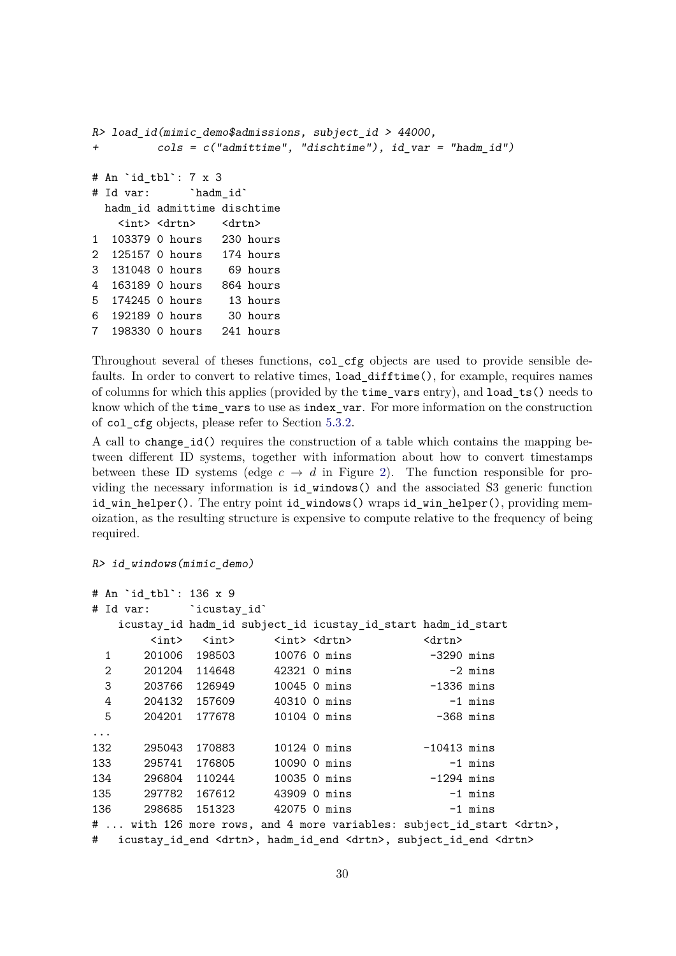```
R> load_id(mimic_demo$admissions, subject_id > 44000,
+ cols = c("admittime", "dischtime"), id_var = "hadm_id")
# An `id_tbl`: 7 x 3
# Id var: `hadm_id`
 hadm_id admittime dischtime
   <int> <drtn> <drtn>
1 103379 0 hours 230 hours
2 125157 0 hours 174 hours
3 131048 0 hours 69 hours
4 163189 0 hours 864 hours
5 174245 0 hours 13 hours
6 192189 0 hours 30 hours
7 198330 0 hours 241 hours
```
Throughout several of theses functions, col\_cfg objects are used to provide sensible defaults. In order to convert to relative times, load\_difftime(), for example, requires names of columns for which this applies (provided by the time\_vars entry), and load\_ts() needs to know which of the time\_vars to use as index\_var. For more information on the construction of col\_cfg objects, please refer to Section 5.3.2.

A call to change\_id() requires the construction of a table which contains the mapping between different ID systems, together with information about how to convert timestamps between these ID systems (edge  $c \to d$  in Figure 2). The function responsible for providing the necessary information is id\_windows() and the associated S3 generic function id\_win\_helper(). The entry point id\_windows() wraps id\_win\_helper(), providing memoization, as the resulting structure is expensive to compute relative to the frequency of being required.

R> id\_windows(mimic\_demo)

```
# An `id_tbl`: 136 x 9
# Id var: `icustay_id`
  icustay_id hadm_id subject_id icustay_id_start hadm_id_start
      <int> <int> <int> <int> <drtn> <drtn>
 1 201006 198503 10076 0 mins -3290 mins
 2 201204 114648 42321 0 mins -2 mins
 3 203766 126949 10045 0 mins -1336 mins
 4 204132 157609 40310 0 mins -1 mins
 5 204201 177678 10104 0 mins -368 mins
...
132 295043 170883 10124 0 mins -10413 mins
133 295741 176805 10090 0 mins -1 mins
134 296804 110244 10035 0 mins -1294 mins
135 297782 167612 43909 0 mins -1 mins
136 298685 151323 42075 0 mins -1 mins
# ... with 126 more rows, and 4 more variables: subject_id_start <drtn>,
# icustay_id_end <drtn>, hadm_id_end <drtn>, subject_id_end <drtn>
```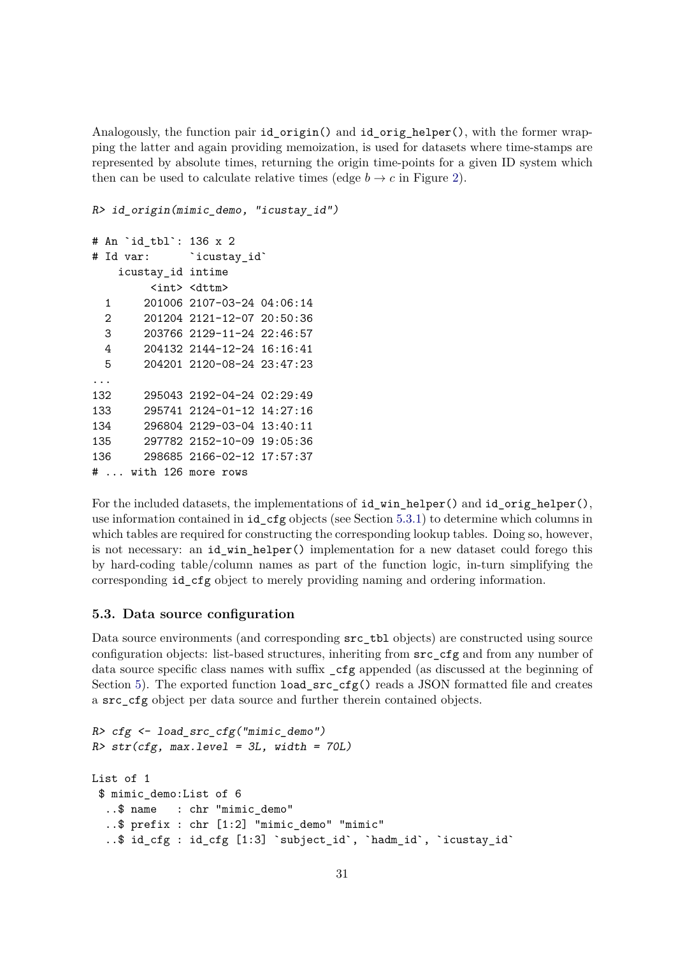Analogously, the function pair id\_origin() and id\_orig\_helper(), with the former wrapping the latter and again providing memoization, is used for datasets where time-stamps are represented by absolute times, returning the origin time-points for a given ID system which then can be used to calculate relative times (edge  $b \to c$  in Figure 2).

R> id\_origin(mimic\_demo, "icustay\_id")

```
# An `id_tbl`: 136 x 2
# Id var: `icustay id`
   icustay_id intime
        <int> <dttm>
 1 201006 2107-03-24 04:06:14
 2 201204 2121-12-07 20:50:36
 3 203766 2129-11-24 22:46:57
 4 204132 2144-12-24 16:16:41
 5 204201 2120-08-24 23:47:23
...
132 295043 2192-04-24 02:29:49
133 295741 2124-01-12 14:27:16
134 296804 2129-03-04 13:40:11
135 297782 2152-10-09 19:05:36
136 298685 2166-02-12 17:57:37
# ... with 126 more rows
```
For the included datasets, the implementations of  $id$  win helper() and  $id$  orig helper(), use information contained in id\_cfg objects (see Section 5.3.1) to determine which columns in which tables are required for constructing the corresponding lookup tables. Doing so, however, is not necessary: an id\_win\_helper() implementation for a new dataset could forego this by hard-coding table/column names as part of the function logic, in-turn simplifying the corresponding id\_cfg object to merely providing naming and ordering information.

#### **5.3. Data source configuration**

Data source environments (and corresponding src\_tbl objects) are constructed using source configuration objects: list-based structures, inheriting from src\_cfg and from any number of data source specific class names with suffix \_cfg appended (as discussed at the beginning of Section 5). The exported function load\_src\_cfg() reads a JSON formatted file and creates a src\_cfg object per data source and further therein contained objects.

```
R> cfg <- load_src_cfg("mimic_demo")
R > str(cfg, max.level = 3L, width = 70L)List of 1
 $ mimic_demo:List of 6
  ..$ name : chr "mimic_demo"
  ..$ prefix : chr [1:2] "mimic_demo" "mimic"
  ..$ id_cfg : id_cfg [1:3] `subject_id`, `hadm_id`, `icustay_id`
```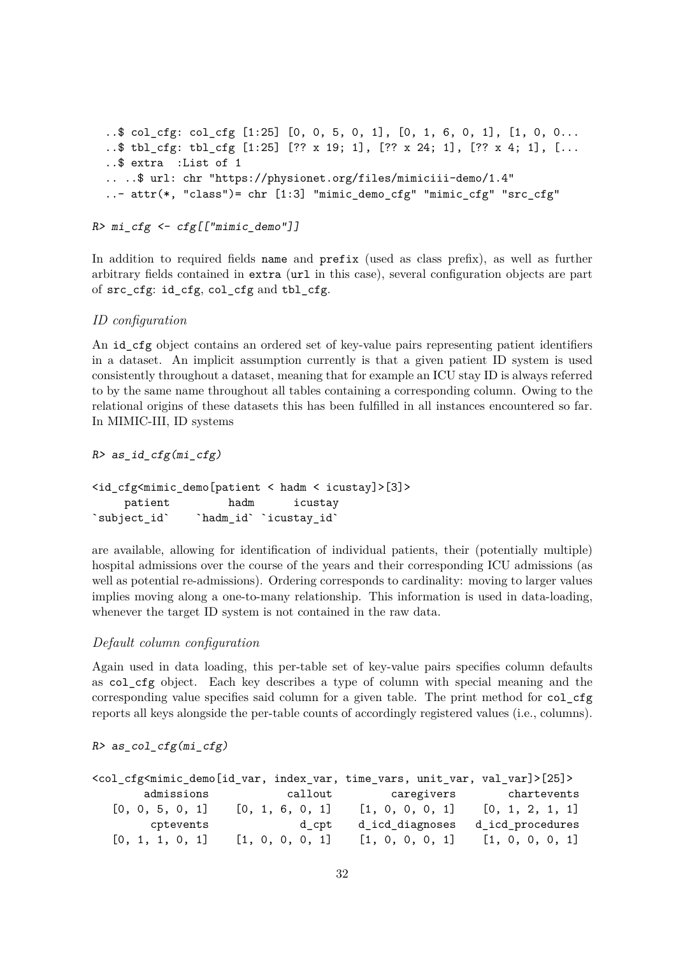```
..$ col_cfg: col_cfg [1:25] [0, 0, 5, 0, 1], [0, 1, 6, 0, 1], [1, 0, 0...
..$ tbl_cfg: tbl_cfg [1:25] [?? x 19; 1], [?? x 24; 1], [?? x 4; 1], [...
..$ extra :List of 1
.. ..$ url: chr "https://physionet.org/files/mimiciii-demo/1.4"
\ldots attr(*, "class")= chr [1:3] "mimic demo_cfg" "mimic_cfg" "src_cfg"
```

```
R>mi_cfg \leftarrow cfg[["minic_demo"]
```
In addition to required fields name and prefix (used as class prefix), as well as further arbitrary fields contained in extra (url in this case), several configuration objects are part of src\_cfg: id\_cfg, col\_cfg and tbl\_cfg.

### *ID configuration*

An id\_cfg object contains an ordered set of key-value pairs representing patient identifiers in a dataset. An implicit assumption currently is that a given patient ID system is used consistently throughout a dataset, meaning that for example an ICU stay ID is always referred to by the same name throughout all tables containing a corresponding column. Owing to the relational origins of these datasets this has been fulfilled in all instances encountered so far. In MIMIC-III, ID systems

 $R$ > as id cfg(mi cfg)

<id\_cfg<mimic\_demo[patient < hadm < icustay]>[3]> patient hadm icustay `subject\_id` `hadm\_id` `icustay\_id`

are available, allowing for identification of individual patients, their (potentially multiple) hospital admissions over the course of the years and their corresponding ICU admissions (as well as potential re-admissions). Ordering corresponds to cardinality: moving to larger values implies moving along a one-to-many relationship. This information is used in data-loading, whenever the target ID system is not contained in the raw data.

### *Default column configuration*

Again used in data loading, this per-table set of key-value pairs specifies column defaults as col\_cfg object. Each key describes a type of column with special meaning and the corresponding value specifies said column for a given table. The print method for col\_cfg reports all keys alongside the per-table counts of accordingly registered values (i.e., columns).

R> as\_col\_cfg(mi\_cfg)

| <col_cfg<mimic_demo[id_var, index_var,="" time_vars,="" unit_var,="" val_var]="">[25]&gt;</col_cfg<mimic_demo[id_var,> |                 |                 |                        |
|------------------------------------------------------------------------------------------------------------------------|-----------------|-----------------|------------------------|
| admissions                                                                                                             | callout         |                 | caregivers chartevents |
| [0, 0, 5, 0, 1]                                                                                                        | [0, 1, 6, 0, 1] | [1, 0, 0, 0, 1] | [0, 1, 2, 1, 1]        |
| cptevents                                                                                                              | d_cpt           | d_icd_diagnoses | d_icd_procedures       |
| [0, 1, 1, 0, 1]                                                                                                        | [1, 0, 0, 0, 1] | [1, 0, 0, 0, 1] | [1, 0, 0, 0, 1]        |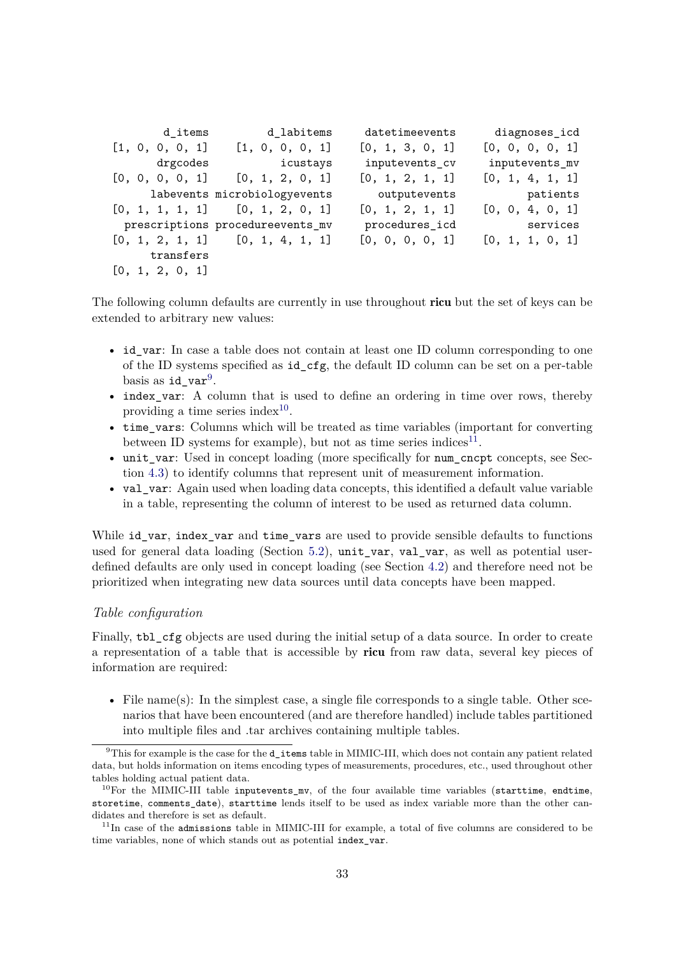| d_items         | d_labitems                          | datetimeevents  | diagnoses_icd   |
|-----------------|-------------------------------------|-----------------|-----------------|
| [1, 0, 0, 0, 1] | [1, 0, 0, 0, 1]                     | [0, 1, 3, 0, 1] | [0, 0, 0, 0, 1] |
| drgcodes        | icustays                            | inputevents_cv  | inputevents_mv  |
|                 | $[0, 0, 0, 0, 1]$ $[0, 1, 2, 0, 1]$ | [0, 1, 2, 1, 1] | [0, 1, 4, 1, 1] |
|                 | labevents microbiologyevents        | outputevents    | patients        |
|                 | $[0, 1, 1, 1, 1]$ $[0, 1, 2, 0, 1]$ | [0, 1, 2, 1, 1] | [0, 0, 4, 0, 1] |
|                 | prescriptions procedureevents_mv    | procedures_icd  | services        |
|                 | $[0, 1, 2, 1, 1]$ $[0, 1, 4, 1, 1]$ | [0, 0, 0, 0, 1] | [0, 1, 1, 0, 1] |
| transfers       |                                     |                 |                 |
| [0, 1, 2, 0, 1] |                                     |                 |                 |

The following column defaults are currently in use throughout ricu but the set of keys can be extended to arbitrary new values:

- id\_var: In case a table does not contain at least one ID column corresponding to one of the ID systems specified as id\_cfg, the default ID column can be set on a per-table basis as  $id\_var^9$ .
- index\_var: A column that is used to define an ordering in time over rows, thereby providing a time series index<sup>10</sup>.
- time\_vars: Columns which will be treated as time variables (important for converting between ID systems for example), but not as time series indices<sup>11</sup>.
- unit var: Used in concept loading (more specifically for num cncpt concepts, see Section 4.3) to identify columns that represent unit of measurement information.
- val\_var: Again used when loading data concepts, this identified a default value variable in a table, representing the column of interest to be used as returned data column.

While id\_var, index\_var and time\_vars are used to provide sensible defaults to functions used for general data loading (Section 5.2), unit\_var, val\_var, as well as potential userdefined defaults are only used in concept loading (see Section 4.2) and therefore need not be prioritized when integrating new data sources until data concepts have been mapped.

### *Table configuration*

Finally, tbl\_cfg objects are used during the initial setup of a data source. In order to create a representation of a table that is accessible by ricu from raw data, several key pieces of information are required:

• File name(s): In the simplest case, a single file corresponds to a single table. Other scenarios that have been encountered (and are therefore handled) include tables partitioned into multiple files and .tar archives containing multiple tables.

<sup>&</sup>lt;sup>9</sup>This for example is the case for the d\_items table in MIMIC-III, which does not contain any patient related data, but holds information on items encoding types of measurements, procedures, etc., used throughout other tables holding actual patient data.

 $10$ For the MIMIC-III table inputevents my, of the four available time variables (starttime, endtime, storetime, comments date), starttime lends itself to be used as index variable more than the other candidates and therefore is set as default.

 $11$ In case of the admissions table in MIMIC-III for example, a total of five columns are considered to be time variables, none of which stands out as potential index var.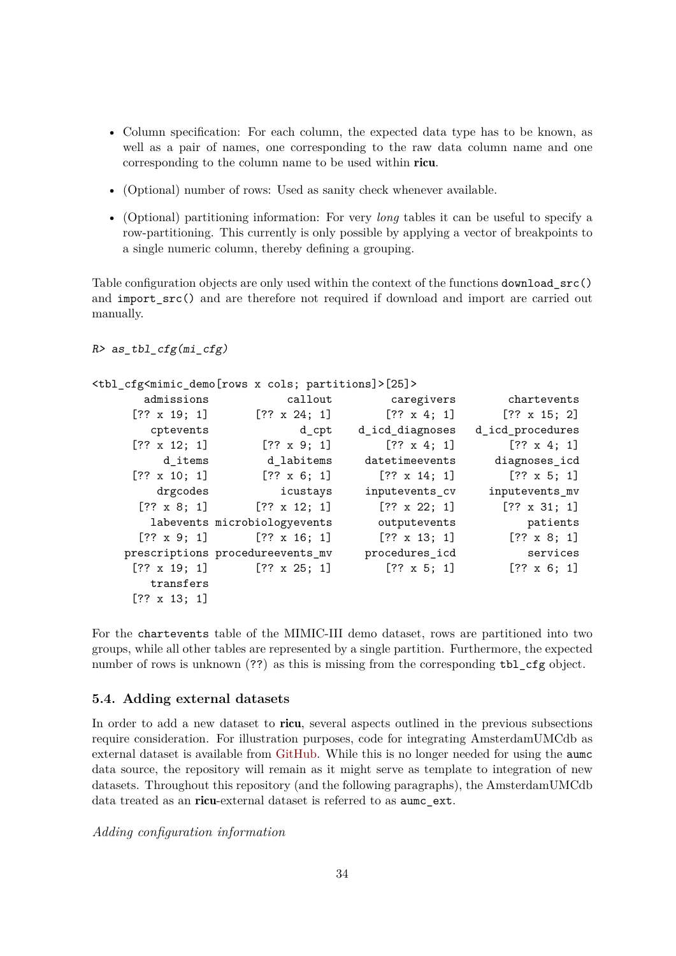- Column specification: For each column, the expected data type has to be known, as well as a pair of names, one corresponding to the raw data column name and one corresponding to the column name to be used within ricu.
- (Optional) number of rows: Used as sanity check whenever available.
- (Optional) partitioning information: For very *long* tables it can be useful to specify a row-partitioning. This currently is only possible by applying a vector of breakpoints to a single numeric column, thereby defining a grouping.

Table configuration objects are only used within the context of the functions download  $src()$ and import  $src()$  and are therefore not required if download and import are carried out manually.

```
R> as_tbl_cfg(mi_cfg)
```
<tbl\_cfg<mimic\_demo[rows x cols; partitions]>[25]>

| chartevents         | caregivers          | callout                          | admissions          |
|---------------------|---------------------|----------------------------------|---------------------|
| $[?? \times 15; 2]$ | $[?? \times 4; 1]$  | $[?? \times 24; 1]$              | $[?? \times 19; 1]$ |
| d_icd_procedures    | d_icd_diagnoses     | d_cpt                            | cptevents           |
| $[?? \times 4; 1]$  | $[?? \times 4; 1]$  | $[?? \times 9; 1]$               | $[?? \times 12; 1]$ |
| diagnoses_icd       | datetimeevents      | d labitems                       | d_items             |
| $[?? \times 5; 1]$  | $[?? \times 14; 1]$ | $[?? \times 6; 1]$               | $[?? \times 10; 1]$ |
| inputevents_mv      | inputevents_cv      | icustays                         | drgcodes            |
| $[?? \times 31; 1]$ | $[?? \times 22; 1]$ | $[?? \times 12; 1]$              | $[?? \times 8; 1]$  |
| patients            | outputevents        | labevents microbiologyevents     |                     |
| $[?? \times 8; 1]$  | $[?? \times 13; 1]$ | $[?? \times 16; 1]$              | $[?? \times 9; 1]$  |
| services            | procedures_icd      | prescriptions procedureevents_mv |                     |
| $[?? \times 6; 1]$  | $[?? \times 5; 1]$  | $[?? \times 25; 1]$              | $[?? \times 19; 1]$ |
|                     |                     |                                  | transfers           |
|                     |                     |                                  | $[?? \times 13; 1]$ |

For the chartevents table of the MIMIC-III demo dataset, rows are partitioned into two groups, while all other tables are represented by a single partition. Furthermore, the expected number of rows is unknown (??) as this is missing from the corresponding tbl\_cfg object.

#### **5.4. Adding external datasets**

In order to add a new dataset to **ricu**, several aspects outlined in the previous subsections require consideration. For illustration purposes, code for integrating AmsterdamUMCdb as external dataset is available from [GitHub.](https://github.com/eth-mds/aumc) While this is no longer needed for using the aumc data source, the repository will remain as it might serve as template to integration of new datasets. Throughout this repository (and the following paragraphs), the AmsterdamUMCdb data treated as an ricu-external dataset is referred to as aumc\_ext.

*Adding configuration information*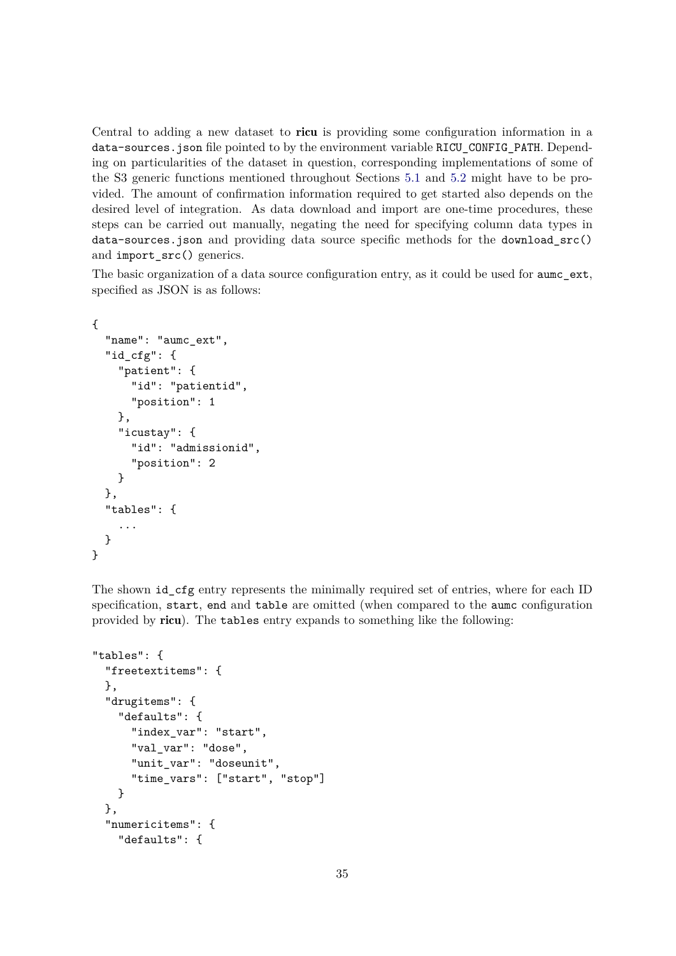Central to adding a new dataset to ricu is providing some configuration information in a data-sources.json file pointed to by the environment variable RICU\_CONFIG\_PATH. Depending on particularities of the dataset in question, corresponding implementations of some of the S3 generic functions mentioned throughout Sections 5.1 and 5.2 might have to be provided. The amount of confirmation information required to get started also depends on the desired level of integration. As data download and import are one-time procedures, these steps can be carried out manually, negating the need for specifying column data types in data-sources.json and providing data source specific methods for the download\_src() and import src() generics.

The basic organization of a data source configuration entry, as it could be used for **aumc\_ext**, specified as JSON is as follows:

```
{
  "name": "aumc_ext",
  "id_cfg": {
    "patient": {
      "id": "patientid",
      "position": 1
    },
    "icustay": {
      "id": "admissionid",
      "position": 2
    }
 },
  "tables": {
    ...
 }
}
```
The shown id\_cfg entry represents the minimally required set of entries, where for each ID specification, start, end and table are omitted (when compared to the aumc configuration provided by ricu). The tables entry expands to something like the following:

```
"tables": {
  "freetextitems": {
 },
  "drugitems": {
    "defaults": {
      "index_var": "start",
      "val_var": "dose",
      "unit_var": "doseunit",
      "time_vars": ["start", "stop"]
    }
 },
  "numericitems": {
    "defaults": {
```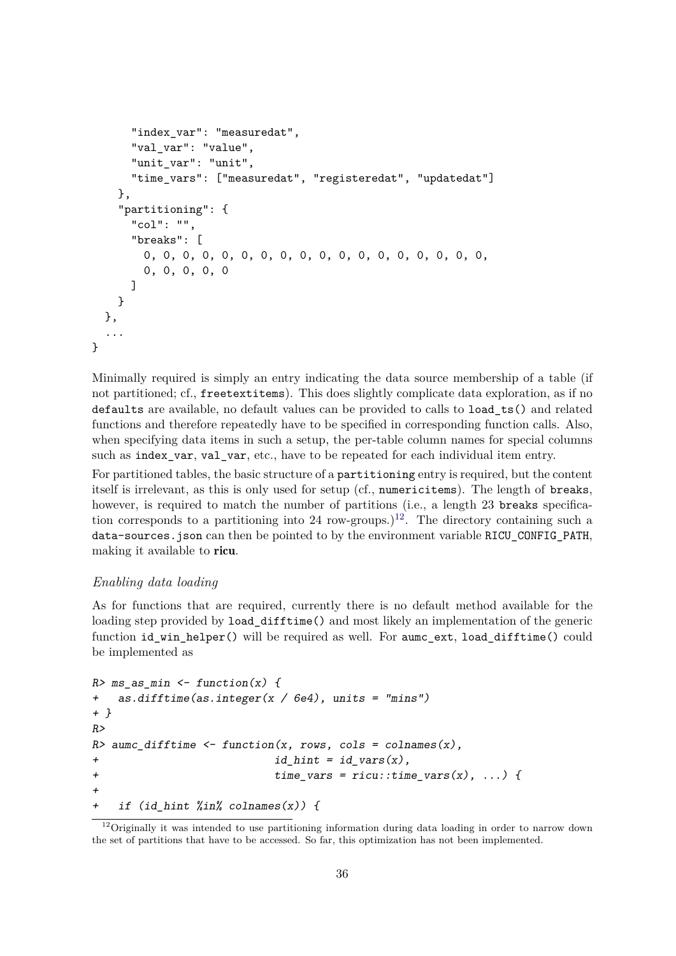```
"index_var": "measuredat",
      "val_var": "value",
      "unit_var": "unit",
      "time_vars": ["measuredat", "registeredat", "updatedat"]
   },
    "partitioning": {
      "col": "",
      "breaks": [
        0, 0, 0, 0, 0, 0, 0, 0, 0, 0, 0, 0, 0, 0, 0, 0, 0, 0,
        0, 0, 0, 0, 0
      ]
   }
 },
  ...
}
```
Minimally required is simply an entry indicating the data source membership of a table (if not partitioned; cf., freetextitems). This does slightly complicate data exploration, as if no defaults are available, no default values can be provided to calls to load\_ts() and related functions and therefore repeatedly have to be specified in corresponding function calls. Also, when specifying data items in such a setup, the per-table column names for special columns such as index var, val\_var, etc., have to be repeated for each individual item entry.

For partitioned tables, the basic structure of a partitioning entry is required, but the content itself is irrelevant, as this is only used for setup (cf., numericitems). The length of breaks, however, is required to match the number of partitions (i.e., a length 23 breaks specification corresponds to a partitioning into 24 row-groups.)<sup>12</sup>. The directory containing such a data-sources.json can then be pointed to by the environment variable RICU\_CONFIG\_PATH, making it available to ricu.

### *Enabling data loading*

As for functions that are required, currently there is no default method available for the loading step provided by **load difftime**() and most likely an implementation of the generic function id win helper() will be required as well. For aumc ext, load difftime() could be implemented as

```
R> ms_as_min <- function(x) {
+ as.difftime(as.integer(x / 6e4), units = "mins")
+ }
R>R aumc_difftime \leq function(x, rows, cols = colnames(x),
+ id hint = id vars(x),
+ time_vars = ricu::time_vars(x), ...) {
+
+ if (id hint \frac{\partial f}{\partial x} colnames(x)) {
```
<sup>&</sup>lt;sup>12</sup>Originally it was intended to use partitioning information during data loading in order to narrow down the set of partitions that have to be accessed. So far, this optimization has not been implemented.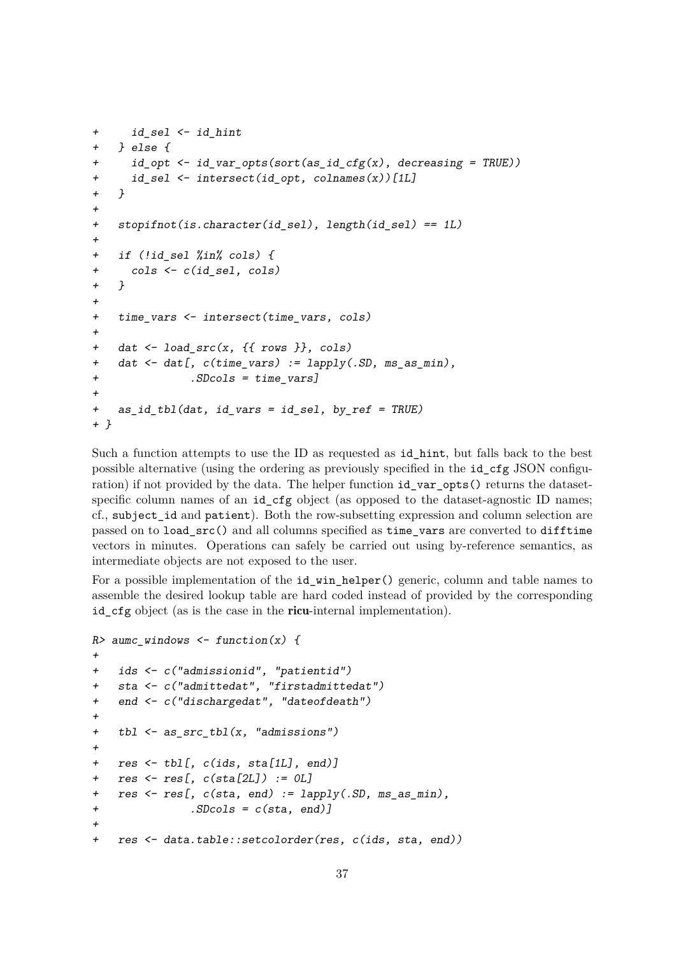```
+ id_sel <- id_hint
+ } else {
+ id_opt <- id_var_opts(sort(as_id_cfg(x), decreasing = TRUE))
+ id_sel <- intersect(id_opt, colnames(x))[1L]
+ }
+
+ stopifnot(is.character(id sel), length(id sel) == 1L)
+
+ if (!id_sel %in% cols) {
+ cols <- c(id_sel, cols)
+ }
+
+ time_vars <- intersect(time_vars, cols)
+
+ dat <- load_src(x, {{ rows }}, cols)
+ dat <- dat[, c(time_vars) := lapply(.SD, ms_as_min),
+ .SDcols = time_vars]
+
+ as_id_tbl(dat, id_vars = id_sel, by_ref = TRUE)
+ }
```
Such a function attempts to use the ID as requested as id\_hint, but falls back to the best possible alternative (using the ordering as previously specified in the id\_cfg JSON configuration) if not provided by the data. The helper function id var opts() returns the datasetspecific column names of an id\_cfg object (as opposed to the dataset-agnostic ID names; cf., subject\_id and patient). Both the row-subsetting expression and column selection are passed on to load\_src() and all columns specified as time\_vars are converted to difftime vectors in minutes. Operations can safely be carried out using by-reference semantics, as intermediate objects are not exposed to the user.

For a possible implementation of the **id\_win\_helper()** generic, column and table names to assemble the desired lookup table are hard coded instead of provided by the corresponding id\_cfg object (as is the case in the **ricu**-internal implementation).

```
R aumc_windows \leq function(x) {
+
+ ids <- c("admissionid", "patientid")
+ sta <- c("admittedat", "firstadmittedat")
+ end <- c("dischargedat", "dateofdeath")
+
+ tbl <- as_src_tbl(x, "admissions")
+
+ res <- tbl[, c(ids, sta[1L], end)]
+ res <- res[, c(sta[2L]) := 0L]
+ res <- res[, c(sta, end) := lapply(.SD, ms_as_min),
+ .SDcols = c(sta, end)]
+
+ res <- data.table::setcolorder(res, c(ids, sta, end))
```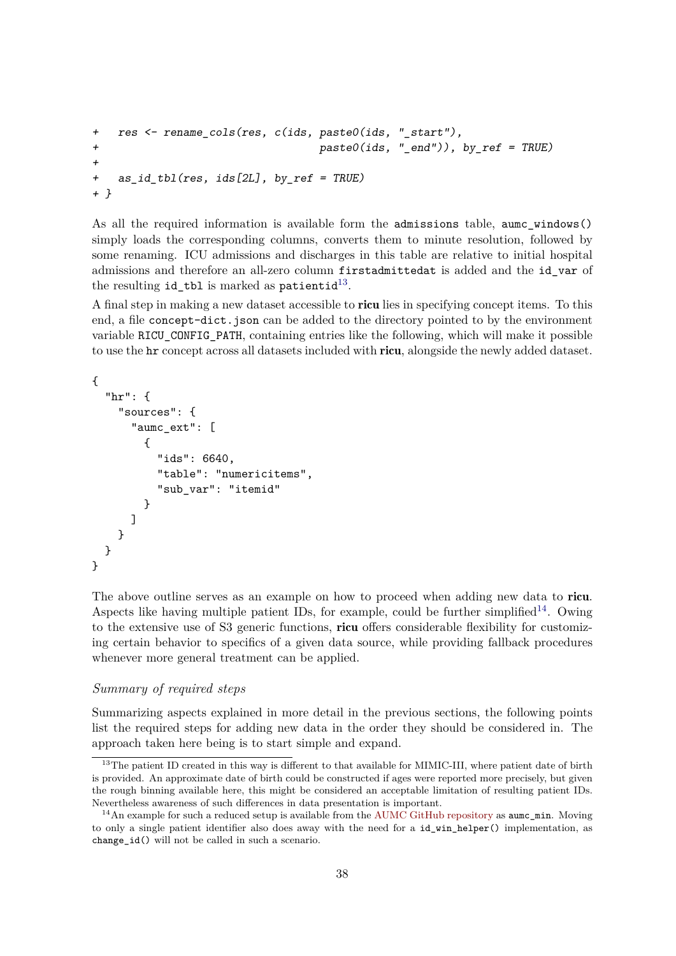```
+ res <- rename cols(res, c(ids, paste0(ids, " start"),
+ paste0(ids, "_end")), by_ref = TRUE)
+
+ as_id_tbl(res, ids[2L], by_ref = TRUE)
+ }
```
As all the required information is available form the admissions table, aumc\_windows() simply loads the corresponding columns, converts them to minute resolution, followed by some renaming. ICU admissions and discharges in this table are relative to initial hospital admissions and therefore an all-zero column firstadmittedat is added and the id\_var of the resulting  $id\_tb1$  is marked as  $\text{patient}^{13}$ .

A final step in making a new dataset accessible to ricu lies in specifying concept items. To this end, a file concept-dict.json can be added to the directory pointed to by the environment variable RICU\_CONFIG\_PATH, containing entries like the following, which will make it possible to use the hr concept across all datasets included with ricu, alongside the newly added dataset.

{

```
"hr": {
    "sources": {
      "aumc_ext": [
        {
           "ids": 6640,
          "table": "numericitems",
           "sub_var": "itemid"
        }
      ]
    }
  }
}
```
The above outline serves as an example on how to proceed when adding new data to ricu. Aspects like having multiple patient IDs, for example, could be further simplified<sup>14</sup>. Owing to the extensive use of S3 generic functions, ricu offers considerable flexibility for customizing certain behavior to specifics of a given data source, while providing fallback procedures whenever more general treatment can be applied.

### *Summary of required steps*

Summarizing aspects explained in more detail in the previous sections, the following points list the required steps for adding new data in the order they should be considered in. The approach taken here being is to start simple and expand.

<sup>&</sup>lt;sup>13</sup>The patient ID created in this way is different to that available for MIMIC-III, where patient date of birth is provided. An approximate date of birth could be constructed if ages were reported more precisely, but given the rough binning available here, this might be considered an acceptable limitation of resulting patient IDs. Nevertheless awareness of such differences in data presentation is important.

<sup>&</sup>lt;sup>14</sup>An example for such a reduced setup is available from the [AUMC GitHub repository](https://github.com/eth-mds/aumc) as **aumc** min. Moving to only a single patient identifier also does away with the need for a id\_win\_helper() implementation, as change\_id() will not be called in such a scenario.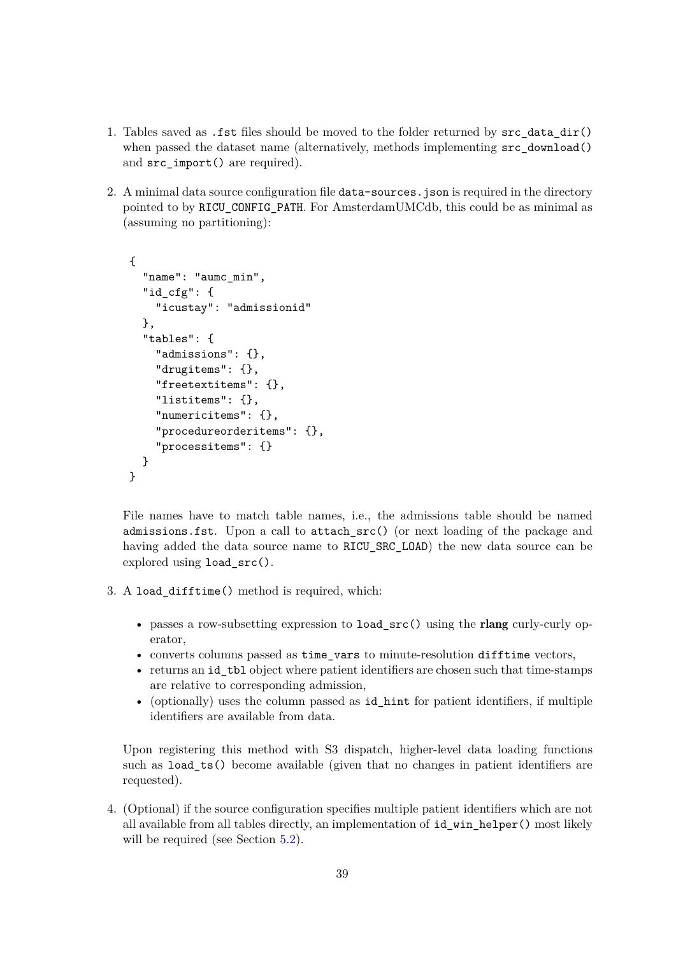- 1. Tables saved as .fst files should be moved to the folder returned by src\_data\_dir() when passed the dataset name (alternatively, methods implementing  $src\_download()$ ) and src\_import() are required).
- 2. A minimal data source configuration file data-sources. json is required in the directory pointed to by RICU\_CONFIG\_PATH. For AmsterdamUMCdb, this could be as minimal as (assuming no partitioning):

```
{
  "name": "aumc_min",
  "id_cfg": {
    "icustay": "admissionid"
  },
  "tables": {
    "admissions": {},
    "drugitems": {},
    "freetextitems": {},
    "listitems": {},
    "numericitems": {},
    "procedureorderitems": {},
    "processitems": {}
  }
}
```
File names have to match table names, i.e., the admissions table should be named admissions.fst. Upon a call to attach\_src() (or next loading of the package and having added the data source name to RICU\_SRC\_LOAD) the new data source can be explored using load\_src().

- 3. A load\_difftime() method is required, which:
	- passes a row-subsetting expression to load\_src() using the rlang curly-curly operator,
	- converts columns passed as time\_vars to minute-resolution difftime vectors,
	- returns an id tbl object where patient identifiers are chosen such that time-stamps are relative to corresponding admission,
	- (optionally) uses the column passed as id\_hint for patient identifiers, if multiple identifiers are available from data.

Upon registering this method with S3 dispatch, higher-level data loading functions such as load\_ts() become available (given that no changes in patient identifiers are requested).

4. (Optional) if the source configuration specifies multiple patient identifiers which are not all available from all tables directly, an implementation of id\_win\_helper() most likely will be required (see Section 5.2).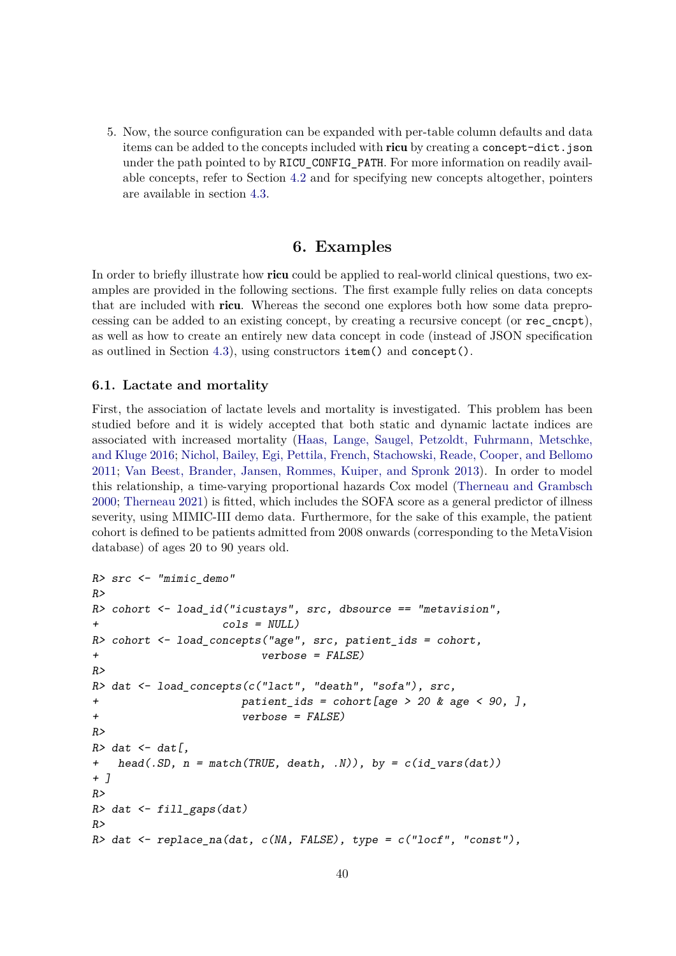5. Now, the source configuration can be expanded with per-table column defaults and data items can be added to the concepts included with ricu by creating a concept-dict.json under the path pointed to by RICU\_CONFIG\_PATH. For more information on readily available concepts, refer to Section 4.2 and for specifying new concepts altogether, pointers are available in section 4.3.

### **6. Examples**

In order to briefly illustrate how ricu could be applied to real-world clinical questions, two examples are provided in the following sections. The first example fully relies on data concepts that are included with ricu. Whereas the second one explores both how some data preprocessing can be added to an existing concept, by creating a recursive concept (or rec\_cncpt), as well as how to create an entirely new data concept in code (instead of JSON specification as outlined in Section 4.3), using constructors item() and concept().

### **6.1. Lactate and mortality**

First, the association of lactate levels and mortality is investigated. This problem has been studied before and it is widely accepted that both static and dynamic lactate indices are associated with increased mortality (Haas, Lange, Saugel, Petzoldt, Fuhrmann, Metschke, and Kluge 2016; Nichol, Bailey, Egi, Pettila, French, Stachowski, Reade, Cooper, and Bellomo 2011; Van Beest, Brander, Jansen, Rommes, Kuiper, and Spronk 2013). In order to model this relationship, a time-varying proportional hazards Cox model (Therneau and Grambsch 2000; Therneau 2021) is fitted, which includes the SOFA score as a general predictor of illness severity, using MIMIC-III demo data. Furthermore, for the sake of this example, the patient cohort is defined to be patients admitted from 2008 onwards (corresponding to the MetaVision database) of ages 20 to 90 years old.

```
R> src <- "mimic_demo"
R>R> cohort <- load_id("icustays", src, dbsource == "metavision",
+ cols = NULL)
R> cohort \leq load_concepts("age", src, patient_ids = cohort,
+ verbose = FALSE)
R>R> dat <- load_concepts(c("lact", "death", "sofa"), src,
+ patient_ids = cohort[age > 20 & age < 90, ],
+ verbose = FALSE)
R>R> dat \leq dat \lfloor,
+ head(.SD, n = match(TRUE, death, .N)), by = c(id_vars(dat))
+ ]
R>R> dat \leftarrow fill_gaps(dat)
R>R> dat \leq replace na(dat, c(NA, FALSE), type = c("locf", "const"),
```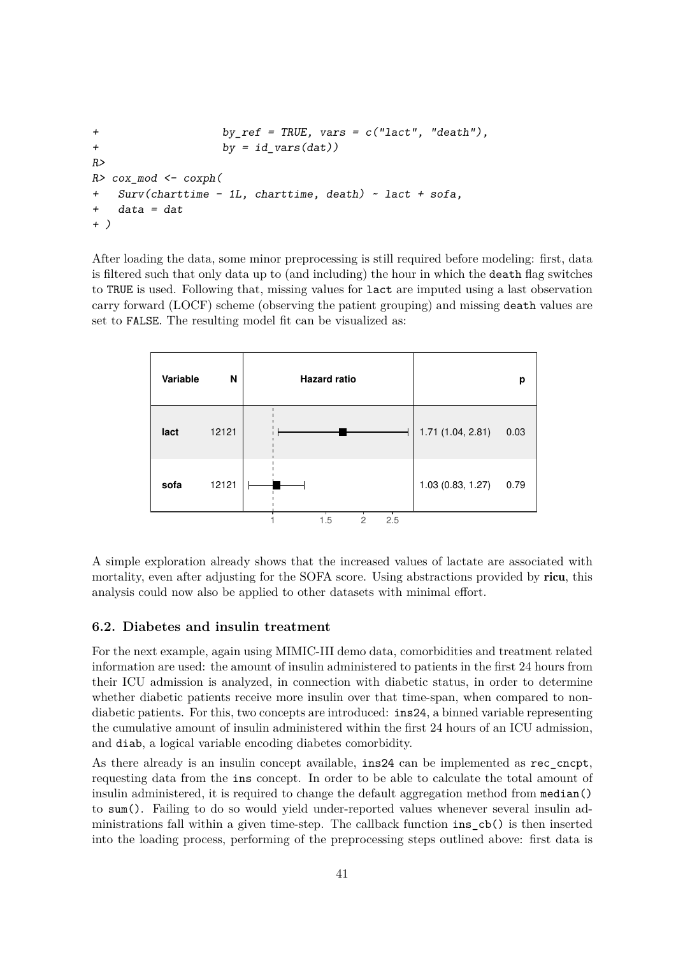```
+ by_ref = TRUE, vars = c("lact", "death"),
+ by = id\_vars(data))
R>R> cox_mod <- coxph(
+ Surv(charttime - 1L, charttime, death) ~ lact + sofa,
   data = dat+ )
```
After loading the data, some minor preprocessing is still required before modeling: first, data is filtered such that only data up to (and including) the hour in which the death flag switches to TRUE is used. Following that, missing values for lact are imputed using a last observation carry forward (LOCF) scheme (observing the patient grouping) and missing death values are set to FALSE. The resulting model fit can be visualized as:



A simple exploration already shows that the increased values of lactate are associated with mortality, even after adjusting for the SOFA score. Using abstractions provided by ricu, this analysis could now also be applied to other datasets with minimal effort.

### **6.2. Diabetes and insulin treatment**

For the next example, again using MIMIC-III demo data, comorbidities and treatment related information are used: the amount of insulin administered to patients in the first 24 hours from their ICU admission is analyzed, in connection with diabetic status, in order to determine whether diabetic patients receive more insulin over that time-span, when compared to nondiabetic patients. For this, two concepts are introduced:  $ins24$ , a binned variable representing the cumulative amount of insulin administered within the first 24 hours of an ICU admission, and diab, a logical variable encoding diabetes comorbidity.

As there already is an insulin concept available, ins24 can be implemented as rec\_cncpt, requesting data from the ins concept. In order to be able to calculate the total amount of insulin administered, it is required to change the default aggregation method from median() to sum(). Failing to do so would yield under-reported values whenever several insulin administrations fall within a given time-step. The callback function ins\_cb() is then inserted into the loading process, performing of the preprocessing steps outlined above: first data is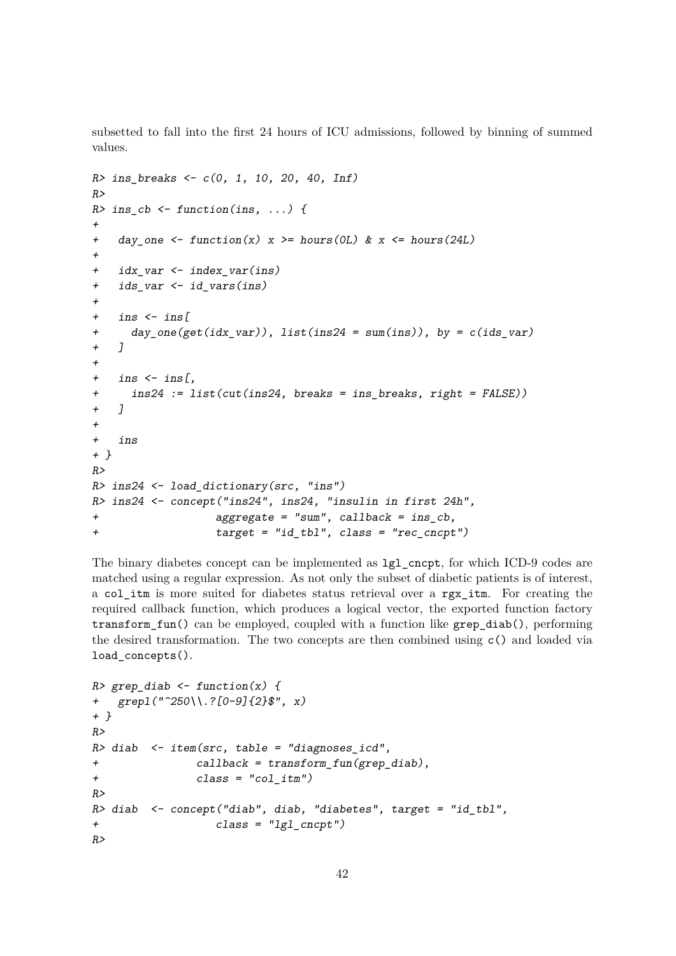subsetted to fall into the first 24 hours of ICU admissions, followed by binning of summed values.

```
R> ins_breaks <- c(0, 1, 10, 20, 40, Inf)
R>R> ins_cb <- function(ins, ...) {
+
+ day_one <- function(x) x >= hours(0L) & x <= hours(24L)
+
+ idx var <- index var(ins)
+ ids_var <- id_vars(ins)
+
+ ins \leftarrow ins [+ day_one(get(idx_var)), list(ins24 = sum(ins)), by = c(ids_var)
+ 1
+
+ ins \leftarrow ins[,
+ ins24 := list(cut(ins24, breaks = ins_breaks, right = FALSE))
+ ]
+
+ ins
+ }
R>R> ins24 <- load_dictionary(src, "ins")
R> ins24 <- concept("ins24", ins24, "insulin in first 24h",
+ aggregate = "sum", callback = ins_cb,
+ target = "id_tbl", class = "rec_cncpt")
```
The binary diabetes concept can be implemented as lgl\_cncpt, for which ICD-9 codes are matched using a regular expression. As not only the subset of diabetic patients is of interest, a col\_itm is more suited for diabetes status retrieval over a rgx\_itm. For creating the required callback function, which produces a logical vector, the exported function factory transform\_fun() can be employed, coupled with a function like grep\_diab(), performing the desired transformation. The two concepts are then combined using c() and loaded via load\_concepts().

```
R> grep_diab <- function(x) {
+ grepl("^250\\.?[0-9]{2}$", x)
+ }
R>R> diab \leq item(src, table = "diagnoses_icd",
+ callback = transform_fun(grep_diab),
+ class = "col_itm")
R>R> diab <- concept("diab", diab, "diabetes", target = "id_tbl",
+ class = "lgl_cncpt")
R>
```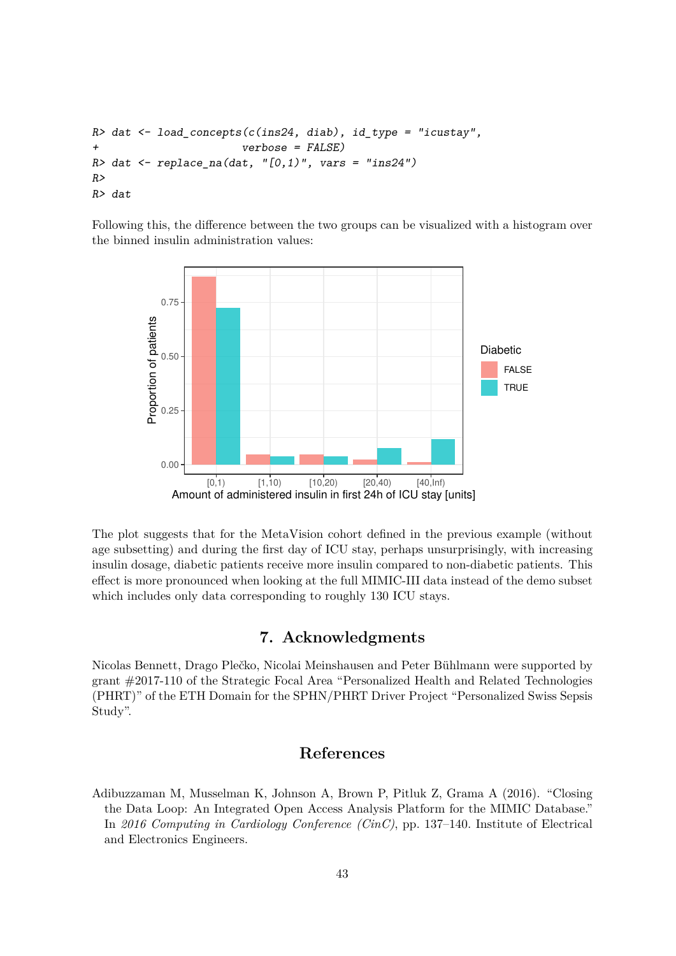```
R> dat \leq load_concepts(c(ins24, diab), id_type = "icustay",
+ verbose = FALSE)
R> dat \leftarrow replace_na(dat, "[0,1)", vars = "ins24")
R>
R> dat
```
Following this, the difference between the two groups can be visualized with a histogram over the binned insulin administration values:



The plot suggests that for the MetaVision cohort defined in the previous example (without age subsetting) and during the first day of ICU stay, perhaps unsurprisingly, with increasing insulin dosage, diabetic patients receive more insulin compared to non-diabetic patients. This effect is more pronounced when looking at the full MIMIC-III data instead of the demo subset which includes only data corresponding to roughly 130 ICU stays.

# **7. Acknowledgments**

Nicolas Bennett, Drago Plečko, Nicolai Meinshausen and Peter Bühlmann were supported by grant #2017-110 of the Strategic Focal Area "Personalized Health and Related Technologies (PHRT)" of the ETH Domain for the SPHN/PHRT Driver Project "Personalized Swiss Sepsis Study".

# **References**

Adibuzzaman M, Musselman K, Johnson A, Brown P, Pitluk Z, Grama A (2016). "Closing the Data Loop: An Integrated Open Access Analysis Platform for the MIMIC Database." In *2016 Computing in Cardiology Conference (CinC)*, pp. 137–140. Institute of Electrical and Electronics Engineers.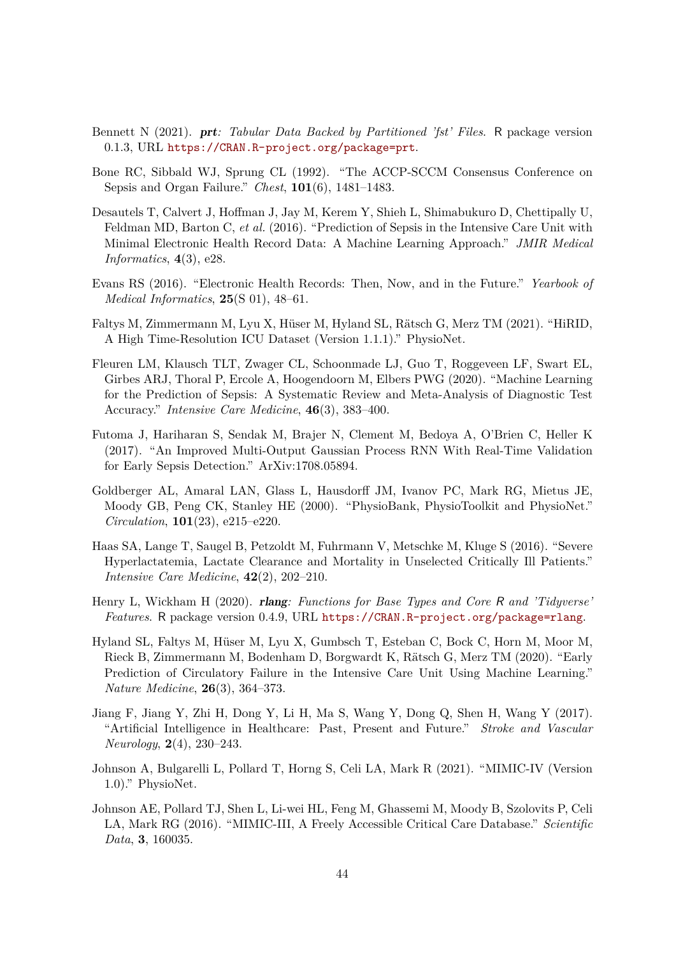- Bennett N (2021). prt*: Tabular Data Backed by Partitioned 'fst' Files*. R package version 0.1.3, URL <https://CRAN.R-project.org/package=prt>.
- Bone RC, Sibbald WJ, Sprung CL (1992). "The ACCP-SCCM Consensus Conference on Sepsis and Organ Failure." *Chest*, **101**(6), 1481–1483.
- Desautels T, Calvert J, Hoffman J, Jay M, Kerem Y, Shieh L, Shimabukuro D, Chettipally U, Feldman MD, Barton C, *et al.* (2016). "Prediction of Sepsis in the Intensive Care Unit with Minimal Electronic Health Record Data: A Machine Learning Approach." *JMIR Medical Informatics*, **4**(3), e28.
- Evans RS (2016). "Electronic Health Records: Then, Now, and in the Future." *Yearbook of Medical Informatics*, **25**(S 01), 48–61.
- Faltys M, Zimmermann M, Lyu X, Hüser M, Hyland SL, Rätsch G, Merz TM (2021). "HiRID, A High Time-Resolution ICU Dataset (Version 1.1.1)." PhysioNet.
- Fleuren LM, Klausch TLT, Zwager CL, Schoonmade LJ, Guo T, Roggeveen LF, Swart EL, Girbes ARJ, Thoral P, Ercole A, Hoogendoorn M, Elbers PWG (2020). "Machine Learning for the Prediction of Sepsis: A Systematic Review and Meta-Analysis of Diagnostic Test Accuracy." *Intensive Care Medicine*, **46**(3), 383–400.
- Futoma J, Hariharan S, Sendak M, Brajer N, Clement M, Bedoya A, O'Brien C, Heller K (2017). "An Improved Multi-Output Gaussian Process RNN With Real-Time Validation for Early Sepsis Detection." ArXiv:1708.05894.
- Goldberger AL, Amaral LAN, Glass L, Hausdorff JM, Ivanov PC, Mark RG, Mietus JE, Moody GB, Peng CK, Stanley HE (2000). "PhysioBank, PhysioToolkit and PhysioNet." *Circulation*, **101**(23), e215–e220.
- Haas SA, Lange T, Saugel B, Petzoldt M, Fuhrmann V, Metschke M, Kluge S (2016). "Severe Hyperlactatemia, Lactate Clearance and Mortality in Unselected Critically Ill Patients." *Intensive Care Medicine*, **42**(2), 202–210.
- Henry L, Wickham H (2020). rlang*: Functions for Base Types and Core* R *and 'Tidyverse' Features*. R package version 0.4.9, URL <https://CRAN.R-project.org/package=rlang>.
- Hyland SL, Faltys M, Hüser M, Lyu X, Gumbsch T, Esteban C, Bock C, Horn M, Moor M, Rieck B, Zimmermann M, Bodenham D, Borgwardt K, Rätsch G, Merz TM (2020). "Early Prediction of Circulatory Failure in the Intensive Care Unit Using Machine Learning." *Nature Medicine*, **26**(3), 364–373.
- Jiang F, Jiang Y, Zhi H, Dong Y, Li H, Ma S, Wang Y, Dong Q, Shen H, Wang Y (2017). "Artificial Intelligence in Healthcare: Past, Present and Future." *Stroke and Vascular Neurology*, **2**(4), 230–243.
- Johnson A, Bulgarelli L, Pollard T, Horng S, Celi LA, Mark R (2021). "MIMIC-IV (Version 1.0)." PhysioNet.
- Johnson AE, Pollard TJ, Shen L, Li-wei HL, Feng M, Ghassemi M, Moody B, Szolovits P, Celi LA, Mark RG (2016). "MIMIC-III, A Freely Accessible Critical Care Database." *Scientific Data*, **3**, 160035.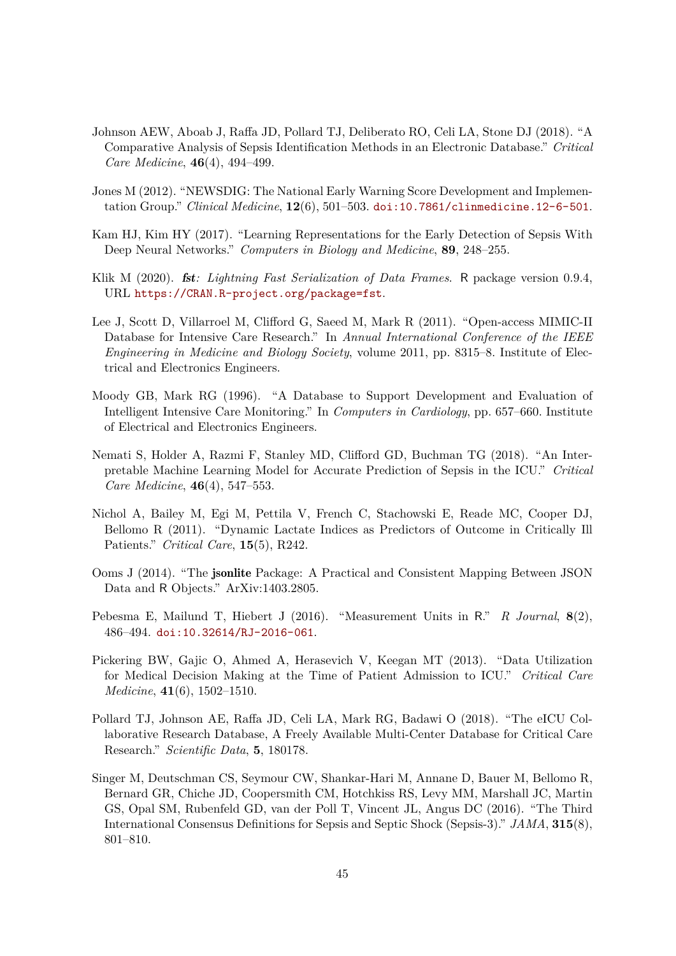- Johnson AEW, Aboab J, Raffa JD, Pollard TJ, Deliberato RO, Celi LA, Stone DJ (2018). "A Comparative Analysis of Sepsis Identification Methods in an Electronic Database." *Critical Care Medicine*, **46**(4), 494–499.
- Jones M (2012). "NEWSDIG: The National Early Warning Score Development and Implementation Group." *Clinical Medicine*, **12**(6), 501–503. [doi:10.7861/clinmedicine.12-6-501](https://doi.org/10.7861/clinmedicine.12-6-501).
- Kam HJ, Kim HY (2017). "Learning Representations for the Early Detection of Sepsis With Deep Neural Networks." *Computers in Biology and Medicine*, **89**, 248–255.
- Klik M (2020). fst*: Lightning Fast Serialization of Data Frames*. R package version 0.9.4, URL <https://CRAN.R-project.org/package=fst>.
- Lee J, Scott D, Villarroel M, Clifford G, Saeed M, Mark R (2011). "Open-access MIMIC-II Database for Intensive Care Research." In *Annual International Conference of the IEEE Engineering in Medicine and Biology Society*, volume 2011, pp. 8315–8. Institute of Electrical and Electronics Engineers.
- Moody GB, Mark RG (1996). "A Database to Support Development and Evaluation of Intelligent Intensive Care Monitoring." In *Computers in Cardiology*, pp. 657–660. Institute of Electrical and Electronics Engineers.
- Nemati S, Holder A, Razmi F, Stanley MD, Clifford GD, Buchman TG (2018). "An Interpretable Machine Learning Model for Accurate Prediction of Sepsis in the ICU." *Critical Care Medicine*, **46**(4), 547–553.
- Nichol A, Bailey M, Egi M, Pettila V, French C, Stachowski E, Reade MC, Cooper DJ, Bellomo R (2011). "Dynamic Lactate Indices as Predictors of Outcome in Critically Ill Patients." *Critical Care*, **15**(5), R242.
- Ooms J (2014). "The jsonlite Package: A Practical and Consistent Mapping Between JSON Data and R Objects." ArXiv:1403.2805.
- Pebesma E, Mailund T, Hiebert J (2016). "Measurement Units in R." *R Journal*, **8**(2), 486–494. [doi:10.32614/RJ-2016-061](https://doi.org/10.32614/RJ-2016-061).
- Pickering BW, Gajic O, Ahmed A, Herasevich V, Keegan MT (2013). "Data Utilization for Medical Decision Making at the Time of Patient Admission to ICU." *Critical Care Medicine*, **41**(6), 1502–1510.
- Pollard TJ, Johnson AE, Raffa JD, Celi LA, Mark RG, Badawi O (2018). "The eICU Collaborative Research Database, A Freely Available Multi-Center Database for Critical Care Research." *Scientific Data*, **5**, 180178.
- Singer M, Deutschman CS, Seymour CW, Shankar-Hari M, Annane D, Bauer M, Bellomo R, Bernard GR, Chiche JD, Coopersmith CM, Hotchkiss RS, Levy MM, Marshall JC, Martin GS, Opal SM, Rubenfeld GD, van der Poll T, Vincent JL, Angus DC (2016). "The Third International Consensus Definitions for Sepsis and Septic Shock (Sepsis-3)." *JAMA*, **315**(8), 801–810.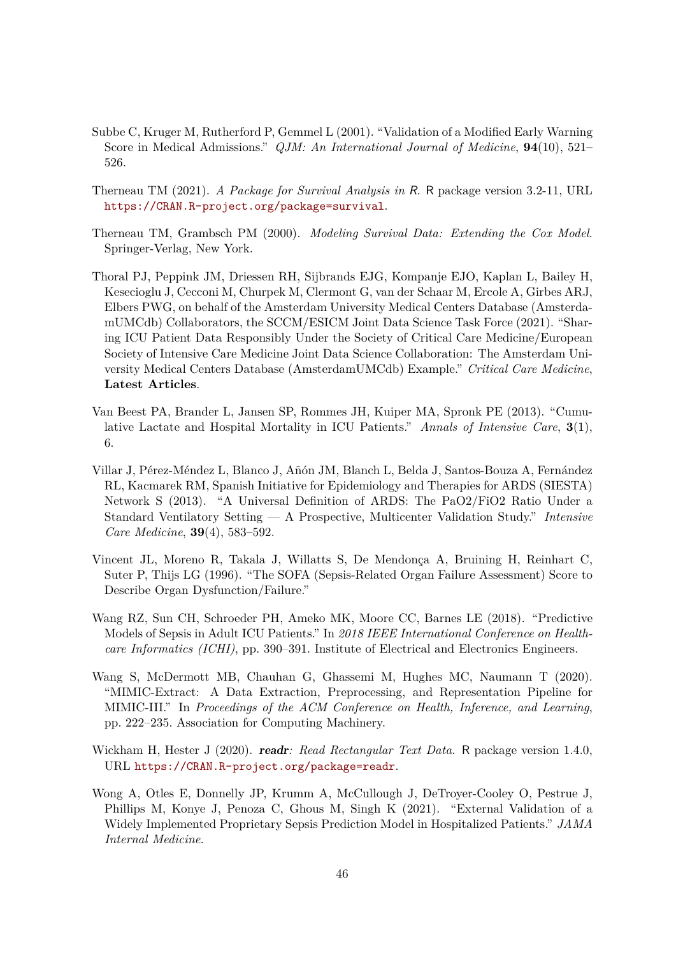- Subbe C, Kruger M, Rutherford P, Gemmel L (2001). "Validation of a Modified Early Warning Score in Medical Admissions." *QJM: An International Journal of Medicine*, **94**(10), 521– 526.
- Therneau TM (2021). *A Package for Survival Analysis in* R. R package version 3.2-11, URL <https://CRAN.R-project.org/package=survival>.
- Therneau TM, Grambsch PM (2000). *Modeling Survival Data: Extending the Cox Model*. Springer-Verlag, New York.
- Thoral PJ, Peppink JM, Driessen RH, Sijbrands EJG, Kompanje EJO, Kaplan L, Bailey H, Kesecioglu J, Cecconi M, Churpek M, Clermont G, van der Schaar M, Ercole A, Girbes ARJ, Elbers PWG, on behalf of the Amsterdam University Medical Centers Database (AmsterdamUMCdb) Collaborators, the SCCM/ESICM Joint Data Science Task Force (2021). "Sharing ICU Patient Data Responsibly Under the Society of Critical Care Medicine/European Society of Intensive Care Medicine Joint Data Science Collaboration: The Amsterdam University Medical Centers Database (AmsterdamUMCdb) Example." *Critical Care Medicine*, **Latest Articles**.
- Van Beest PA, Brander L, Jansen SP, Rommes JH, Kuiper MA, Spronk PE (2013). "Cumulative Lactate and Hospital Mortality in ICU Patients." *Annals of Intensive Care*, **3**(1), 6.
- Villar J, Pérez-Méndez L, Blanco J, Añón JM, Blanch L, Belda J, Santos-Bouza A, Fernández RL, Kacmarek RM, Spanish Initiative for Epidemiology and Therapies for ARDS (SIESTA) Network S (2013). "A Universal Definition of ARDS: The PaO2/FiO2 Ratio Under a Standard Ventilatory Setting — A Prospective, Multicenter Validation Study." *Intensive Care Medicine*, **39**(4), 583–592.
- Vincent JL, Moreno R, Takala J, Willatts S, De Mendonça A, Bruining H, Reinhart C, Suter P, Thijs LG (1996). "The SOFA (Sepsis-Related Organ Failure Assessment) Score to Describe Organ Dysfunction/Failure."
- Wang RZ, Sun CH, Schroeder PH, Ameko MK, Moore CC, Barnes LE (2018). "Predictive Models of Sepsis in Adult ICU Patients." In *2018 IEEE International Conference on Healthcare Informatics (ICHI)*, pp. 390–391. Institute of Electrical and Electronics Engineers.
- Wang S, McDermott MB, Chauhan G, Ghassemi M, Hughes MC, Naumann T (2020). "MIMIC-Extract: A Data Extraction, Preprocessing, and Representation Pipeline for MIMIC-III." In *Proceedings of the ACM Conference on Health, Inference, and Learning*, pp. 222–235. Association for Computing Machinery.
- Wickham H, Hester J (2020). readr*: Read Rectangular Text Data*. R package version 1.4.0, URL <https://CRAN.R-project.org/package=readr>.
- Wong A, Otles E, Donnelly JP, Krumm A, McCullough J, DeTroyer-Cooley O, Pestrue J, Phillips M, Konye J, Penoza C, Ghous M, Singh K (2021). "External Validation of a Widely Implemented Proprietary Sepsis Prediction Model in Hospitalized Patients." *JAMA Internal Medicine*.